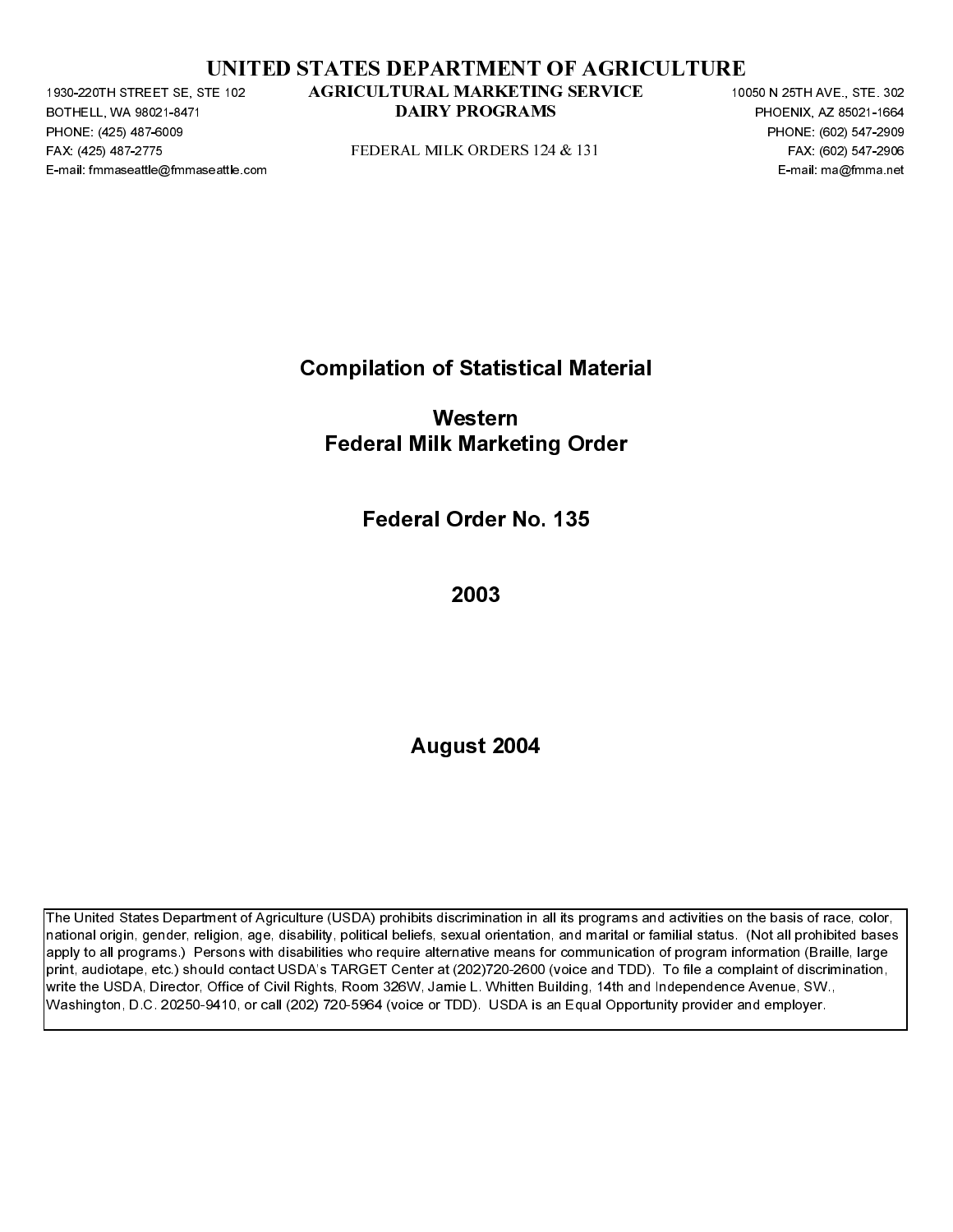|  | UNITED STATES DEPARTMENT OF AGRICULTURE |  |  |
|--|-----------------------------------------|--|--|
|  |                                         |  |  |

BOTHELL, WA 98021-8471<br>BOTHELL, WA 98021-8471<br>PHONE: (425) 487-6009<br>FAX: (425) 487-6009<br>E-mail: fmmaseattle@fmmaseattle.c PHONE: (425) 487-6009<br>FAX: (425) 487-6009<br>FAX: (425) 487-2775<br>E-mail: fmmaseattle@fmma FAX: (425) 487-2271 STATED STATES DEPARTMENT OF AGRICULTURE<br>
FAX: (425) 487-1766, 602-2006<br>
FAX: (425) 47-2775 FEDERAL MILK ORDERS 124 & 131<br>
FAX: (425) 47-2775<br>
FAX: (425) 47-2776<br>
FAX: (425) 47-2776<br>
FAX: (427-2776)<br>
FA

Compilation of Statistical Material

PAX: (426) 487-2716<br>
PERIC measured optimizes actions<br>
Demain the measured optimizes actions<br>
Pederal Milk Marketing Order<br>
Pederal Order No. 135<br>
2003<br>
August 2004 E-mail: fmmaseattle.com Federal Milk Marketing<br>1996<br>Federal Milk Marketing Order<br>1998<br>2003<br>2003<br>August 2004 Western Federal Milk Marketing Order

Federal Order No. 135

2003

August 2004

**DATRY PROGRAMS**<br>
PHONE, 6003 BY: 1992<br>
FEDERAL MILK ORDERS 124-8, 131<br>
PHONE, 6003 SET205<br>
FOR 1993<br> **Compliation of Statistical Material**<br> **Pederal Milk Marketing Order**<br> **Federal Order No. 135**<br>
2003<br>
August 2004<br>
Augu Extra MILK ORDERS 124 & 131<br>
PERSENT PROGRAMS PROGRAMS PROGRAMS<br>
E-mail: manghtmna ed<br> **DAIRY PROGRAMS PHOENIX, AND ADVENTIVE PROGRAMS PROGRAMS**<br> **E-mail: manghtmna ed<br>
2003**<br> **DAIRY PROGRAMS PROGRAMS PROGRAMS PROGRAMS PRO** The United States Department of Agriculture (USDA) prohibits discrimination in all its programs and activities on the basis of race, color, national origin, gender, religion, age, disability, political beliefs, sexual orientation, and marital or familial status. (Not all prohibited bases apply to all programs.) Persons with disabilities who require alternative means for communication of program information (Braille, large print, audiotape, etc.) should contact USDA's TARGET Center at (202)720-2600 (voice and TDD). To file a complaint of discrimination, write the USDA, Director, Office of Civil Rights, Room 326W, Jamie L. Whitten Building, 14th and Independence Avenue, SW., Washington, D.C. 20250-9410, or call (202) 720-5964 (voice or TDD). USDA is an Equal Opportunity provider and employer. TE-32<br>
AGRICULTRAL MARKFITNG SERVICE<br>
DAIRY PROGRAMS<br>
FIDERAL MILK ORDERS 124 & 131<br>
Compilation of Statistical Material<br>
Western<br>
Federal Milk Marketing Order<br>
Federal Order No. 135<br>
2003<br>
August 2004<br>
August 2004<br>
Market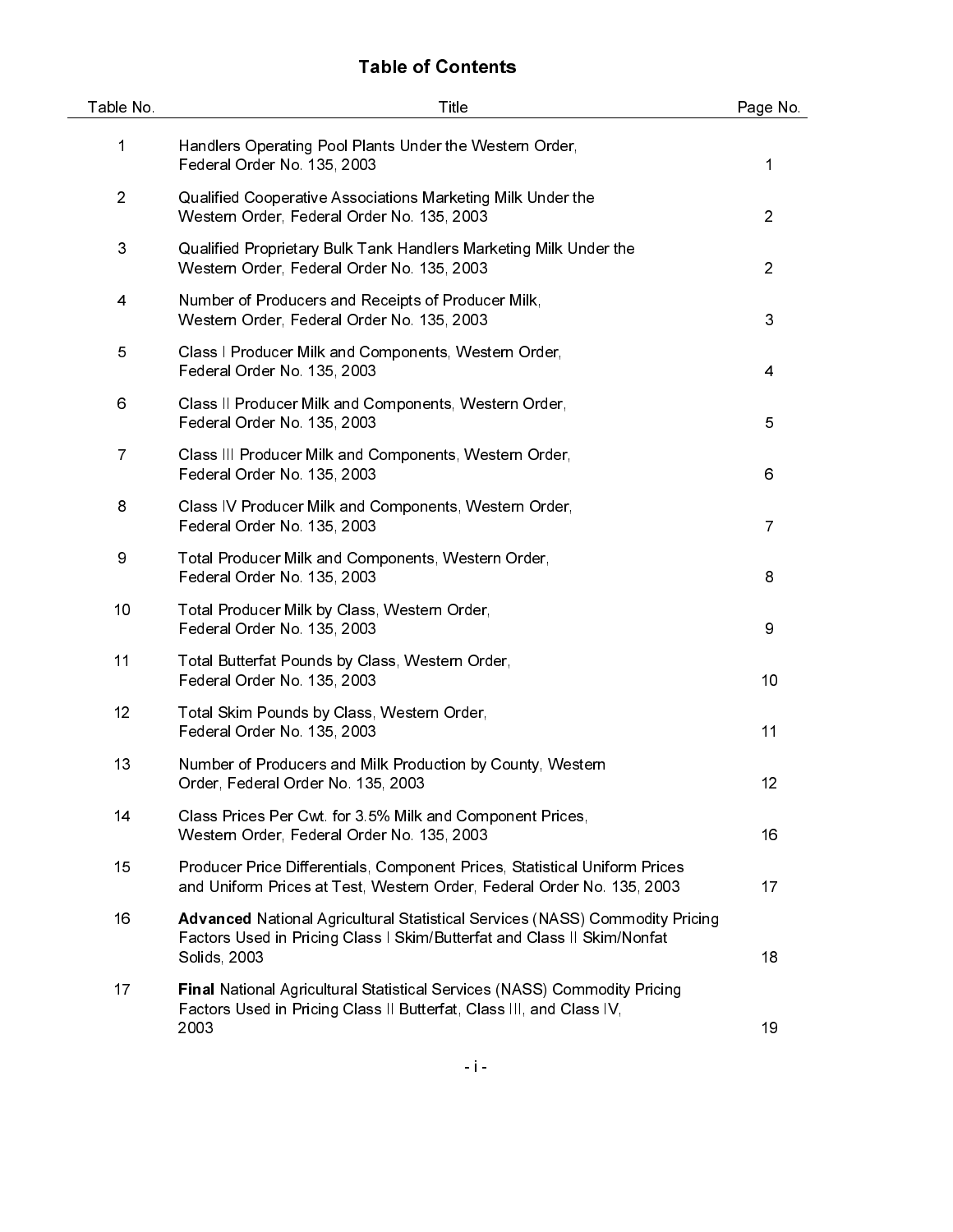# Table of Contents

| Table No.      | Title                                                                                                                                                                          | Page No.       |
|----------------|--------------------------------------------------------------------------------------------------------------------------------------------------------------------------------|----------------|
| 1              | Handlers Operating Pool Plants Under the Western Order,<br>Federal Order No. 135, 2003                                                                                         | 1              |
| $\overline{c}$ | Qualified Cooperative Associations Marketing Milk Under the<br>Western Order, Federal Order No. 135, 2003                                                                      | $\overline{2}$ |
| 3              | Qualified Proprietary Bulk Tank Handlers Marketing Milk Under the<br>Western Order, Federal Order No. 135, 2003                                                                | $\overline{2}$ |
| 4              | Number of Producers and Receipts of Producer Milk,<br>Western Order, Federal Order No. 135, 2003                                                                               | 3              |
| 5              | Class I Producer Milk and Components, Western Order,<br>Federal Order No. 135, 2003                                                                                            | 4              |
| 6              | Class II Producer Milk and Components, Western Order,<br>Federal Order No. 135, 2003                                                                                           | 5              |
| $\overline{7}$ | Class III Producer Milk and Components, Western Order,<br>Federal Order No. 135, 2003                                                                                          | 6              |
| 8              | Class IV Producer Milk and Components, Western Order,<br>Federal Order No. 135, 2003                                                                                           | 7              |
| 9              | Total Producer Milk and Components, Western Order,<br>Federal Order No. 135, 2003                                                                                              | 8              |
| 10             | Total Producer Milk by Class, Western Order,<br>Federal Order No. 135, 2003                                                                                                    | 9              |
| 11             | Total Butterfat Pounds by Class, Western Order,<br>Federal Order No. 135, 2003                                                                                                 | 10             |
| 12             | Total Skim Pounds by Class, Western Order,<br>Federal Order No. 135, 2003                                                                                                      | 11             |
| 13             | Number of Producers and Milk Production by County, Western<br>Order, Federal Order No. 135, 2003                                                                               | 12             |
| 14             | Class Prices Per Cwt for 3.5% Milk and Component Prices,<br>Western Order, Federal Order No. 135, 2003                                                                         | 16             |
| 15             | Producer Price Differentials, Component Prices, Statistical Uniform Prices<br>and Uniform Prices at Test, Western Order, Federal Order No. 135, 2003                           | 17             |
| 16             | <b>Advanced National Agricultural Statistical Services (NASS) Commodity Pricing</b><br>Factors Used in Pricing Class I Skim/Butterfat and Class II Skim/Nonfat<br>Solids, 2003 | 18             |
| 17             | <b>Final National Agricultural Statistical Services (NASS) Commodity Pricing</b><br>Factors Used in Pricing Class II Butterfat, Class III, and Class IV,<br>2003               | 19             |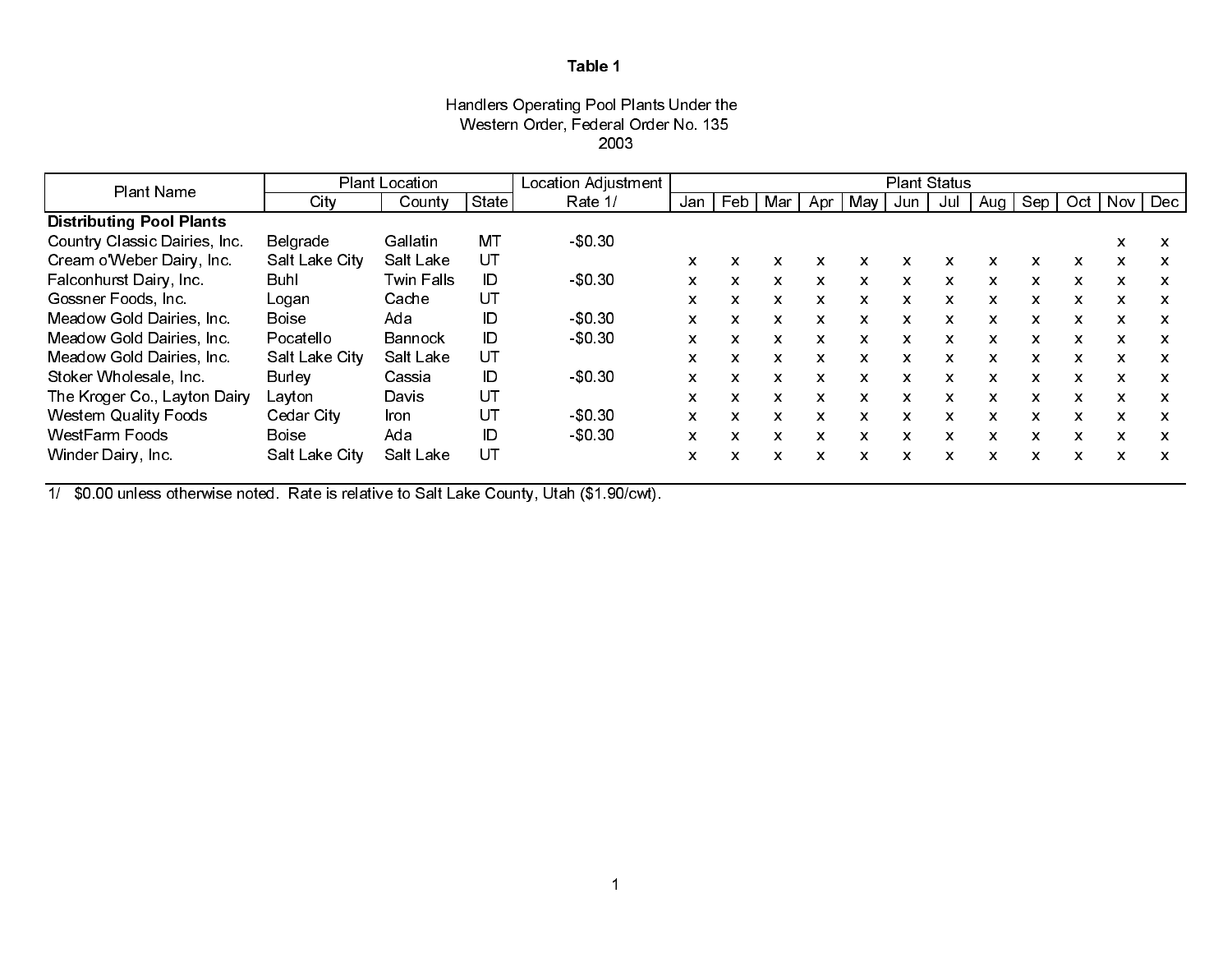## Handlers Operating Pool Plants Under the Western Order, Federal Order No. 135 2003

| <b>Plant Name</b>               |                | Plant Location |       | Location Adjustment |     |         |     |     |              |                           | <b>Plant Status</b> |     |     |          |                           |                           |
|---------------------------------|----------------|----------------|-------|---------------------|-----|---------|-----|-----|--------------|---------------------------|---------------------|-----|-----|----------|---------------------------|---------------------------|
|                                 | City           | County         | State | Rate 1/             | Jan | $ $ Feb | Mar | Apr | Mav          | Jun                       | Jul                 | Aug | Sep | Oct      | Nov.                      | Dec                       |
| <b>Distributing Pool Plants</b> |                |                |       |                     |     |         |     |     |              |                           |                     |     |     |          |                           |                           |
| Country Classic Dairies, Inc.   | Belgrade       | Gallatin       | МT    | \$0,30              |     |         |     |     |              |                           |                     |     |     |          | X                         | X                         |
| Cream o'Weber Dairy, Inc.       | Salt Lake City | Salt Lake      | UT    |                     | X   | x       |     |     | x            | x                         | x                   | x   |     |          | X                         | x                         |
| Falconhurst Dairy, Inc.         | Buhl           | Twin Falls     | ID    | $-$0,30$            | X   | X.      | X   | X.  | $\mathsf{x}$ | X.                        | $\mathsf{x}$        | X   | X.  | X.       | X                         | X                         |
| Gossner Foods, Inc.             | Logan          | Cache          | UT    |                     | X   | X       | x   | x   | X            | X                         | X                   | X   | X   | x        | $\boldsymbol{\mathsf{x}}$ | $\boldsymbol{\mathsf{x}}$ |
| Meadow Gold Dairies, Inc.       | <b>Boise</b>   | Ada            | ID    | \$0,30              | X   | X.      | x   | X.  | X.           | $\mathbf{x}$              | X                   | X   | X.  | X.       | $\boldsymbol{\mathsf{x}}$ | $\boldsymbol{\mathsf{x}}$ |
| Meadow Gold Dairies, Inc.       | Pocatello      | Bannock        | ID    | \$0,30              | X   | X       | x   | X.  | X.           | X                         | X                   | X   | X   | x        | X                         | X                         |
| Meadow Gold Dairies, Inc.       | Salt Lake City | Salt Lake      | UT    |                     | X   | X.      | X   | x   | X.           | X.                        | X.                  | X   | X.  | <b>X</b> | $\mathbf{x}$              | x                         |
| Stoker Wholesale, Inc.          | <b>Burley</b>  | Cassia         | ID    | \$0,30              | X   | X.      | x   | X.  | X.           | X                         | X                   | X   | x   | X.       | X                         | x                         |
| The Kroger Co., Layton Dairy    | Layton         | Davis          | UT    |                     | X   | X       | x   | X.  | X.           | $\boldsymbol{\mathsf{x}}$ | X                   | X   | X   | X.       | $\boldsymbol{\mathsf{x}}$ | $\boldsymbol{\mathsf{x}}$ |
| <b>Western Quality Foods</b>    | Cedar City     | Iron           | UT    | \$0,30              | X   | X.      | X.  | X.  | X.           | X                         | X.                  | X   | X.  | X.       | X                         | $\boldsymbol{\mathsf{x}}$ |
| <b>WestFarm Foods</b>           | <b>Boise</b>   | Ada            | ID    | \$0,30              | X   | X       | X   | X.  | X.           | X.                        | X.                  | x   | X.  | X.       | X                         | X                         |
| Winder Dairy, Inc.              | Salt Lake City | Salt Lake      | UT    |                     | X   | X       | x   | X   | X            | X                         | X                   | X   | x   | X.       | X                         | x                         |

1/ \$0.00 unless otherwise noted. Rate is relative to Salt Lake County, Utah (\$1.90/cwt).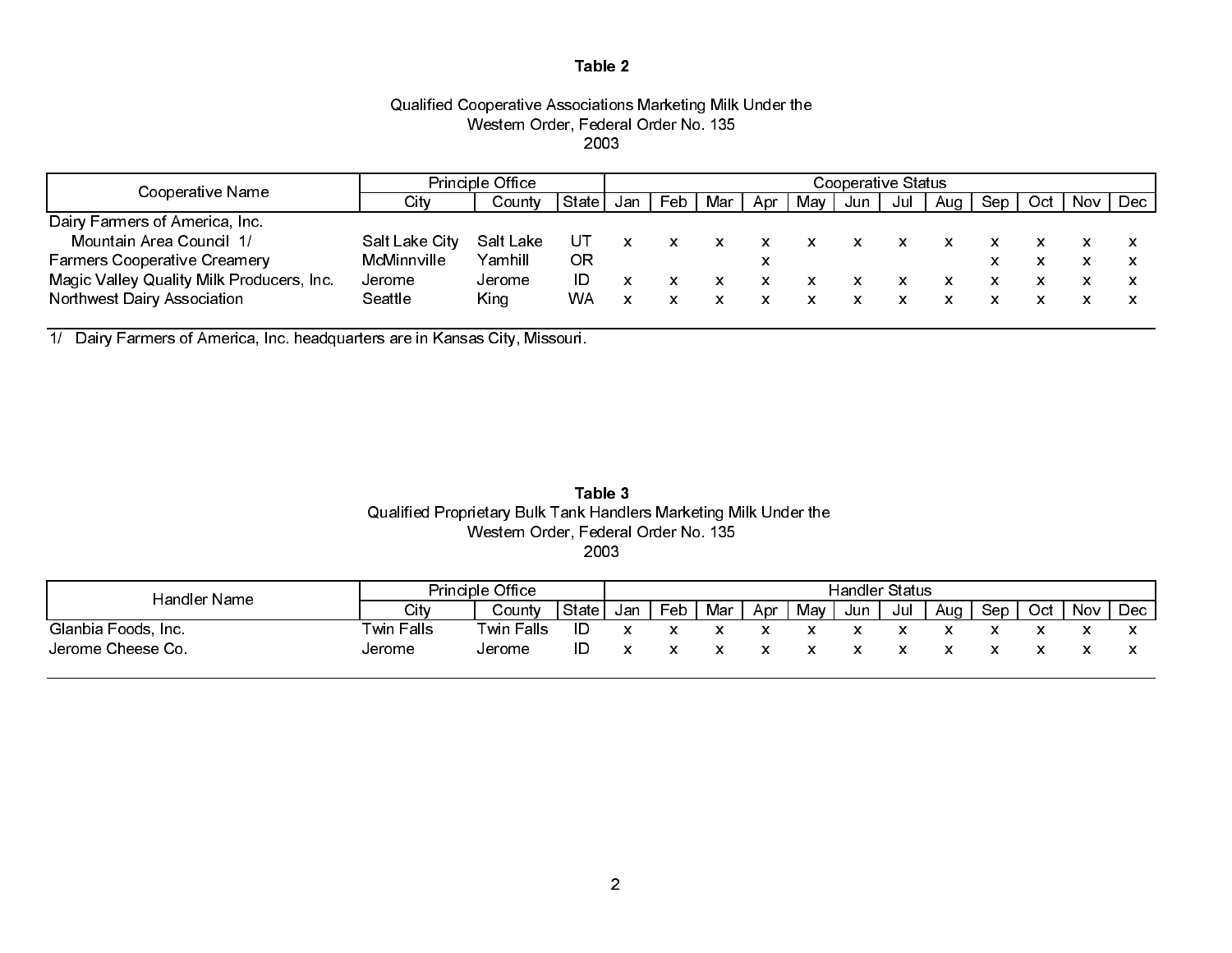## Qualified Cooperative Associations Marketing Milk Under the Western Order, Federal Order No. 135 2003

|                                           |                | <b>Principle Office</b> |           | Cooperative Status |     |     |     |     |     |     |     |     |     |     |     |
|-------------------------------------------|----------------|-------------------------|-----------|--------------------|-----|-----|-----|-----|-----|-----|-----|-----|-----|-----|-----|
| Cooperative Name                          | C tv           | County                  | State     | Jan                | Feb | Mar | Apr | Mav | Jun | Jul | Aua | Sep | Oct | Nov | Dec |
| Dairy Farmers of America, Inc.            |                |                         |           |                    |     |     |     |     |     |     |     |     |     |     |     |
| Mountain Area Council 1/                  | Salt Lake City | Salt Lake               | UΤ        |                    |     | x   |     |     |     |     |     |     |     |     |     |
| <b>Farmers Cooperative Creamery</b>       | McMinnville    | Yamhill                 | ΟR        |                    |     |     | х   |     |     |     |     |     |     |     |     |
| Magic Valley Quality Milk Producers, Inc. | Jerome         | Jerome                  | ID        |                    |     |     |     |     |     |     |     |     |     |     |     |
| Northwest Dairy Association               | Seattle        | King                    | <b>WA</b> |                    |     |     |     |     |     |     |     |     |     |     |     |

1/ Dairy Farmers of America, Inc. headquarters are in Kansas City, Missouri.

## Qualified Proprietary Bulk Tank Handlers Marketing Milk Under the Western Order, Federal Order No. 135 2003Table 3

| Handler Name        |            | Principle Office  |       | <b>Handler Status</b> |     |     |     |     |     |     |     |     |     |     |            |
|---------------------|------------|-------------------|-------|-----------------------|-----|-----|-----|-----|-----|-----|-----|-----|-----|-----|------------|
|                     | City       | Countv            | State | Jan                   | Feb | Mar | Apr | May | Jun | Jul | Aua | Sep | Oct | Nov | <b>Dec</b> |
| Glanbia Foods, Inc. | Twin Falls | <b>Twin Falls</b> | ID    |                       |     |     |     |     |     |     |     |     |     |     |            |
| Jerome Cheese Co.   | Jerome     | Jerome            | ID    |                       |     |     |     |     |     |     |     |     |     |     |            |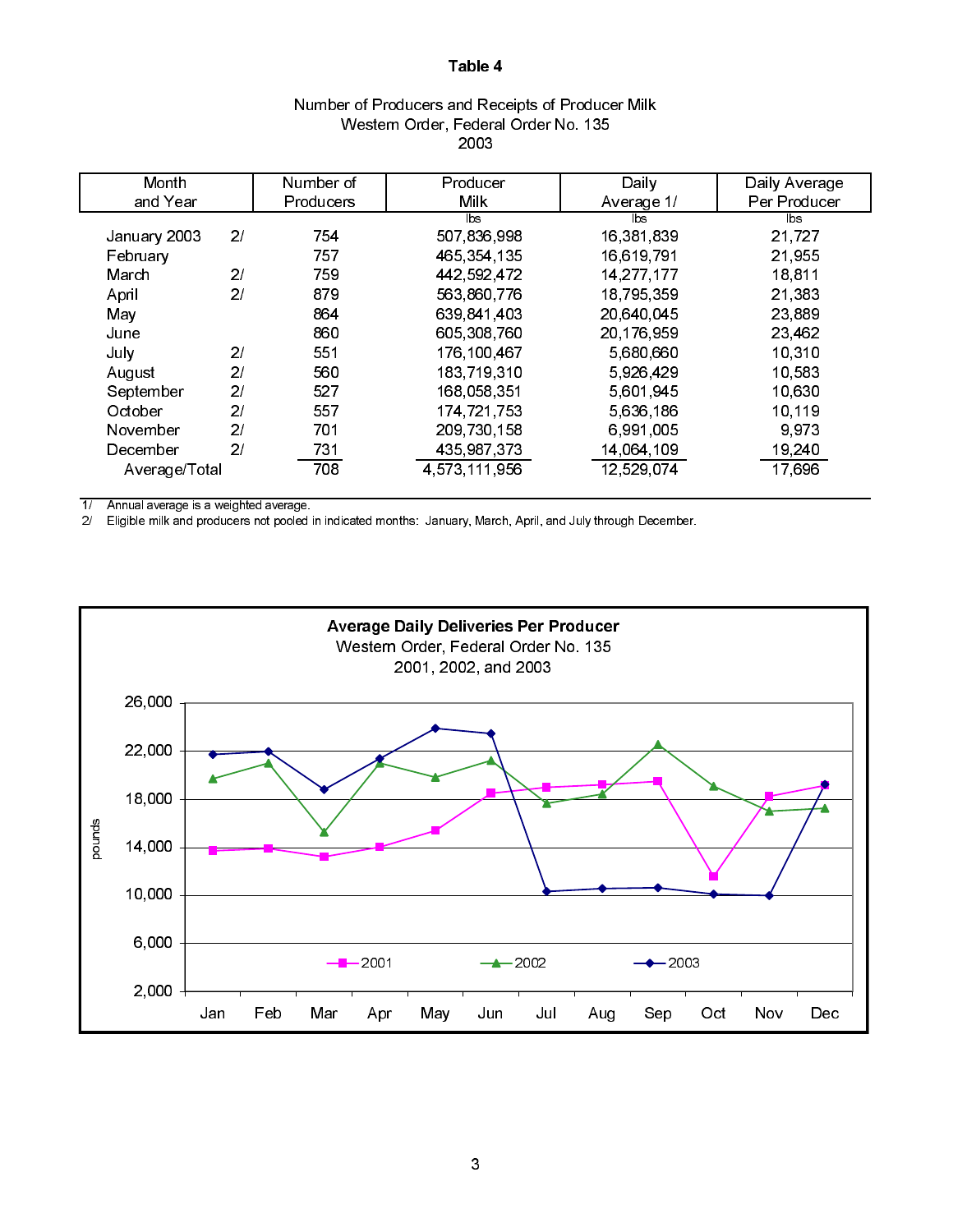|               |                |                  | 2003          |              |               |
|---------------|----------------|------------------|---------------|--------------|---------------|
| Month         |                | Number of        | Producer      | Daily        | Daily Average |
| and Year      |                | <b>Producers</b> | Milk.         | Average 1/   | Per Producer  |
|               |                |                  | lbs.          | lbs          | lbs           |
| January 2003  | 21             | 754              | 507,836,998   | 16,381,839   | 21,727        |
| February      |                | 757              | 465,354,135   | 16,619,791   | 21,955        |
| March         | 2/             | 759              | 442,592,472   | 14, 277, 177 | 18,811        |
| April         | 2/             | 879              | 563,860,776   | 18 795 359   | 21,383        |
| May           |                | 864              | 639 841 403   | 20 640 045   | 23 889        |
| June          |                | 860              | 605,308,760   | 20,176,959   | 23,462        |
| July          | 2 <sub>l</sub> | 551              | 176,100,467   | 5,680,660    | 10 310        |
| August        | 2/             | 560              | 183 719 310   | 5 926 429    | 10 583        |
| September     | 2 <sub>l</sub> | 527              | 168 058 351   | 5,601,945    | 10.630        |
| October       | 21             | 557              | 174 721 753   | 5 636 186    | 10 119        |
| November      | 21             | 701              | 209,730,158   | 6 991 005    | 9973          |
| December      | 21             | 731              | 435,987,373   | 14,064,109   | 19,240        |
| Average/Total |                | 708              | 4,573,111,956 | 12,529,074   | 17,696        |

## Number of Producers and Receipts of Producer Milk Western Order, Federal Order No. 135 2003

 $1/$  Annual average is a weighted average.<br> $2/$  Eligible milk and producers not pooled i

2/ Eligible milk and producers not pooled in indicated months: January, March, April, and July through December.

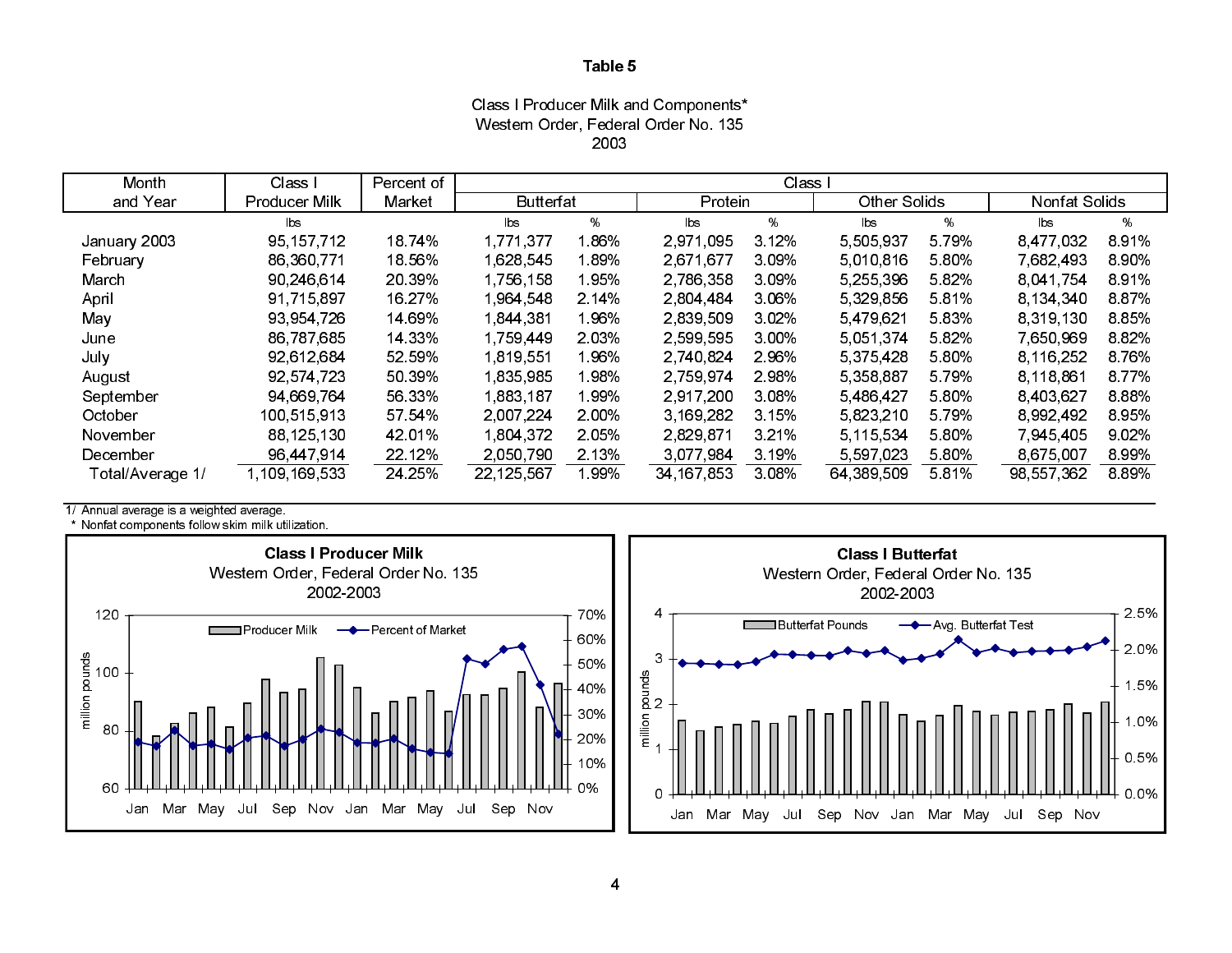Class I Producer Milk and Components\* Western Order, Federal Order No. 135 2003

| Month            | Class I       | Percent of |                  |         |            | Class I |                     |         |               |         |
|------------------|---------------|------------|------------------|---------|------------|---------|---------------------|---------|---------------|---------|
| and Year         | Producer Milk | Market     | <b>Butterfat</b> |         | Protein    |         | <b>Other Solids</b> |         | Nonfat Solids |         |
|                  | Ibs           |            | lbs              | %       | lbs.       | %       | lbs                 | %       | lbs           | %       |
| January 2003     | 95, 157, 712  | 18 74%     | 1,771,377        | l 86%   | 2,971,095  | 3 1 2%  | 5,505,937           | 5 79%   | 8,477,032     | 891%    |
| February         | 86,360,771    | 18.56%     | 1,628,545        | 1.89%   | 2,671,677  | 3 09%   | 5,010,816           | 5.80%   | 7 682 493     | 890%    |
| March            | 90 246 614    | 20 39%     | 1 756 158        | 195%    | 2,786,358  | 3 09%   | 5,255,396           | 582%    | 8.041.754     | 891%    |
| April            | 91,715,897    | 16 27%     | 1964 548         | 2 14%   | 2 804 484  | 3.06%   | 5,329,856           | 581%    | 8 134 340     | 887%    |
| May              | 93,954,726    | 14 69%     | 1,844,381        | 196%    | 2,839,509  | 3 0 2%  | 5,479,621           | 583%    | 8,319,130     | 885%    |
| June             | 86,787,685    | 14 33%     | 1,759,449        | 2 0 3 % | 2 599 595  | 3 00%   | 5.051.374           | 582%    | 7,650,969     | 882%    |
| July             | 92.612.684    | 52 59%     | 1.819.551        | 1.96%   | 2 740 824  | 2 96%   | 5,375,428           | 5.80%   | 8 116 252     | 8.76%   |
| August           | 92,574,723    | 50 39%     | 1835,985         | 1.98%   | 2,759,974  | 2.98%   | 5,358,887           | 5 7 9 % | 8 118 861     | 877%    |
| September        | 94 669 764    | 56.33%     | 1,883,187        | 199%    | 2,917,200  | 3 08%   | 5,486,427           | 5.80%   | 8,403,627     | 888%    |
| October          | 100 515 913   | 57 54%     | 2 007 224        | 2.00%   | 3 169 282  | 3.15%   | 5,823,210           | 5.79%   | 8 992 492     | 895%    |
| November         | 88 125 130    | 42 01%     | 1804372          | 2.05%   | 2829871    | 3 2 1 % | 5,115,534           | 5.80%   | 7 945 405     | 902%    |
| December         | 96,447,914    | 22.12%     | 2,050,790        | 2.13%   | 3.077.984  | 3 19%   | 5,597,023           | 5.80%   | 8,675,007     | 8.99%   |
| Total/Average 1/ | 109 169 533   | 24 25%     | 22,125,567       | 199%    | 34 167 853 | 3 08%   | 64,389,509          | 5 8 1%  | 98,557,362    | 8 8 9 % |

1/ Annual average is a weighted average.

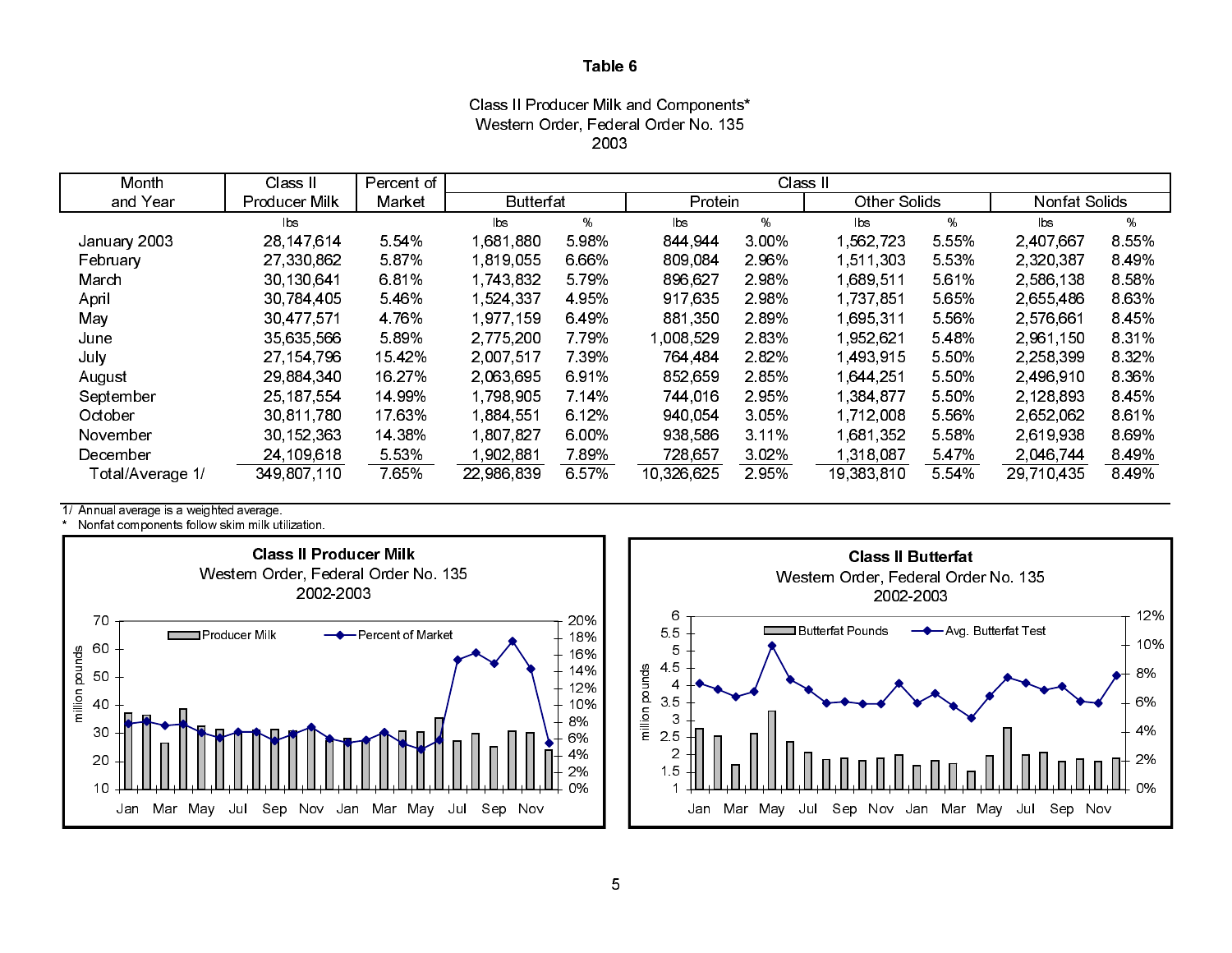Class II Producer Milk and Components\* Western Order, Federal Order No. 135 2003

| Month            | Class II      | Percent of |                  |         |            | Class II |               |         |                      |         |
|------------------|---------------|------------|------------------|---------|------------|----------|---------------|---------|----------------------|---------|
| and Year         | Producer Milk | Market     | <b>Butterfat</b> |         | Protein    |          | Other Solids  |         | <b>Nonfat Solids</b> |         |
|                  | lbs           |            | lbs              | %       | lbs        | %        | $\mathsf{ls}$ | %       | lbs                  | %       |
| January 2003     | 28 147 614    | 5 5 4 %    | 1,681,880        | 598%    | 844 944    | 3.00%    | 562,723       | 5 5 5 % | 2,407,667            | 8 5 5 % |
| February         | 27,330,862    | 5.87%      | 1,819,055        | 6.66%   | 809,084    | 296%     | 511,303       | 5.53%   | 2,320,387            | 8 4 9 % |
| March            | 30 130 641    | 681%       | 1 743 832        | 5 7 9%  | 896,627    | 2.98%    | 689.511       | 561%    | 2,586,138            | 8 5 8 % |
| April            | 30,784,405    | 5.46%      | 1 524 337        | 4 9 5 % | 917,635    | 2.98%    | 1,737,851     | 5.65%   | 2,655,486            | 8 6 3%  |
| May              | 30 477 571    | 4 76%      | 1,977,159        | 6.49%   | 881,350    | 289%     | 1,695,311     | 5 5 6%  | 2 576 661            | 8.45%   |
| June             | 35 635 566    | 589%       | 2 775 200        | 7 7 9%  | 1,008,529  | 283%     | 952,621       | 548%    | 2.961.150            | 8 3 1 % |
| July             | 27,154,796    | 15 4 2%    | 2,007,517        | 7 3 9 % | 764,484    | 282%     | 493,915       | 5 50%   | 2,258,399            | 8 3 2 % |
| August           | 29,884,340    | 16.27%     | 2,063,695        | 691%    | 852,659    | 285%     | 1,644,251     | 5.50%   | 2,496,910            | 8 3 6 % |
| September        | 25, 187, 554  | 14 99%     | 1,798,905        | 7 14%   | 744,016    | 295%     | 1,384,877     | 5.50%   | 2,128,893            | 8.45%   |
| October          | 30 811 780    | 17.63%     | 1.884.551        | 6.12%   | 940.054    | 3.05%    | 1,712,008     | 5.56%   | 2,652,062            | 861%    |
| November         | 30, 152, 363  | 14 38%     | 1,807,827        | 6.00%   | 938,586    | 3 1 1 %  | 681,352       | 5.58%   | 2,619,938            | 8 6 9%  |
| December         | 24 109 618    | 5 5 3 %    | 1,902,881        | 7.89%   | 728,657    | 3.02%    | 318,087       | 547%    | 2,046,744            | 8.49%   |
| Total/Average 1/ | 349 807 110   | 765%       | 22,986,839       | 6 57%   | 10,326,625 | 295%     | 19 383 810    | 5.54%   | 29 710 435           | 8 4 9 % |

1/ Annual average is a weighted average.



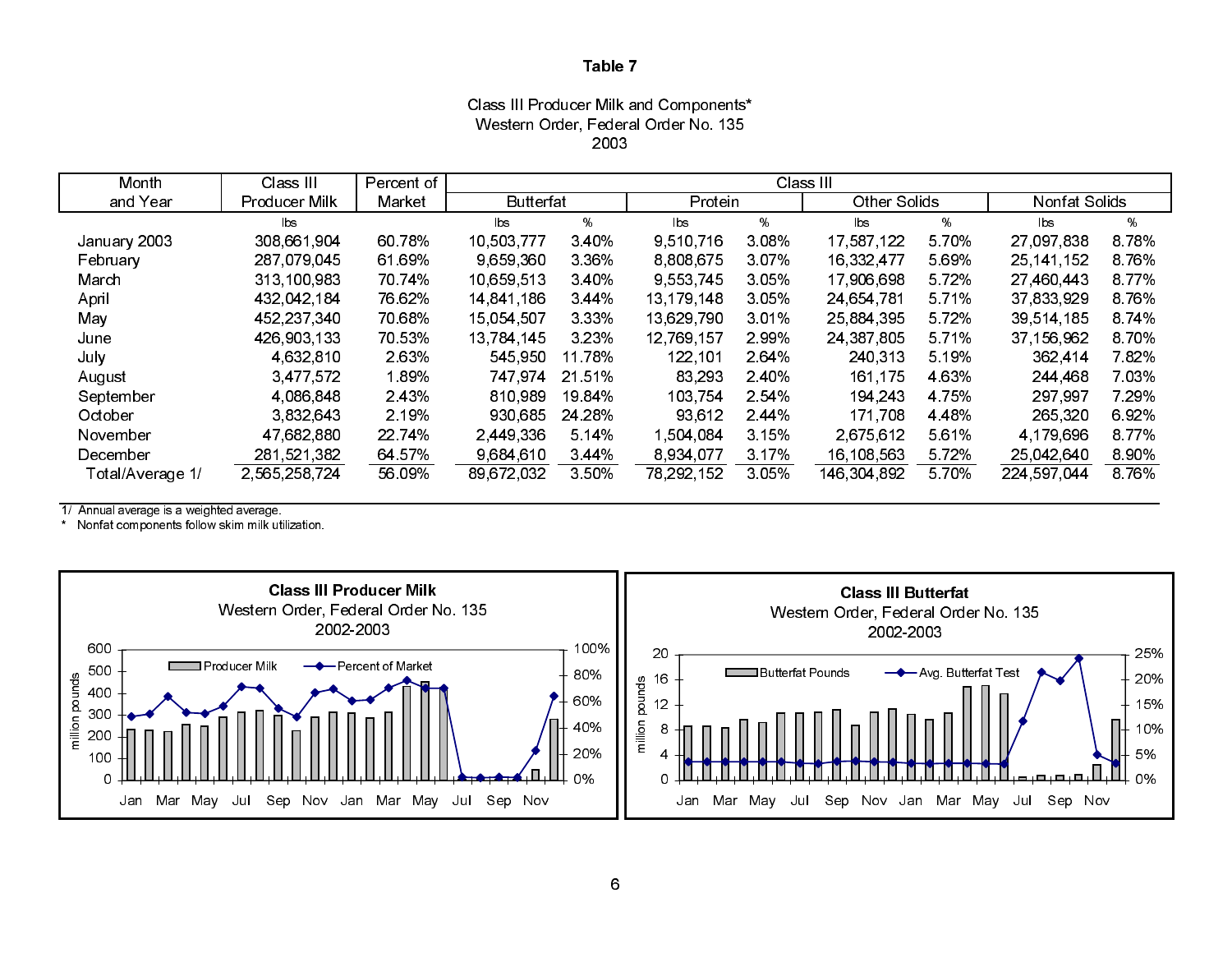Class III Producer Milk and Components\* Western Order, Federal Order No. 135 2003

| Month            | Class III     | Percent of | Class III        |         |              |         |                     |         |               |         |
|------------------|---------------|------------|------------------|---------|--------------|---------|---------------------|---------|---------------|---------|
| and Year         | Producer Milk | Market     | <b>Butterfat</b> |         | Protein      |         | <b>Other Solids</b> |         | Nonfat Solids |         |
|                  | lbs.          |            | lbs              | %       | lbs          | %       | bs                  | %       | lbs           | %       |
| January 2003     | 308,661,904   | 60 78%     | 10,503,777       | 340%    | 9,510,716    | 3.08%   | 17 587 122          | 570%    | 27,097,838    | 878%    |
| February         | 287,079,045   | 61 69%     | 9 659 360        | 3 3 6 % | 8 808 675    | 3.07%   | 16 332 477          | 569%    | 25 141 152    | 8.76%   |
| March            | 313,100,983   | 70 74%     | 10.659.513       | 3 40%   | 9 553 745    | 3.05%   | 17 906 698          | 572%    | 27 460 443    | 8 7 7 % |
| April            | 432,042,184   | 76 62%     | 14,841,186       | 344%    | 13, 179, 148 | 3 0 5 % | 24,654,781          | 571%    | 37,833,929    | 876%    |
| May              | 452 237 340   | 70 68%     | 15.054.507       | 3 3 3 % | 13,629,790   | 3 0 1 % | 25.884.395          | 5 7 2%  | 39 514 185    | 874%    |
| June             | 426 903 133   | 70 53%     | 13,784,145       | 3 2 3 % | 12,769,157   | 2.99%   | 24,387,805          | 571%    | 37,156,962    | 870%    |
| July             | 4 632 810     | 2.63%      | 545 950          | 11.78%  | 122 101      | 264%    | 240 313             | 5 19%   | 362 414       | 782%    |
| August           | 3,477,572     | 189%       | 747,974          | 21 51%  | 83,293       | 240%    | 161,175             | 4 6 3 % | 244 468       | 7.03%   |
| September        | 4.086.848     | 2.43%      | 810.989          | 19 84%  | 103,754      | 2 54%   | 194 243             | 4 7 5 % | 297,997       | 7 29%   |
| October          | 3.832.643     | 2.19%      | 930,685          | 24 28%  | 93 612       | 244%    | 171,708             | 4 4 8 % | 265,320       | 6.92%   |
| November         | 47 682 880    | 22 74%     | 2449336          | 5.14%   | 1.504.084    | 3.15%   | 2675612             | 561%    | 4 179 696     | 8.77%   |
| December         | 281,521,382   | 64.57%     | 9 684 610        | 344%    | 8 934 077    | 3 17%   | 16,108,563          | 5 7 2%  | 25 042 640    | 8.90%   |
| Total/Average 1/ | 2 565 258 724 | 56 09%     | 89.672.032       | 3 50%   | 78, 292, 152 | 3 0 5 % | 146 304 892         | 570%    | 224 597 044   | 876%    |

1/ Annual average is a weighted average.

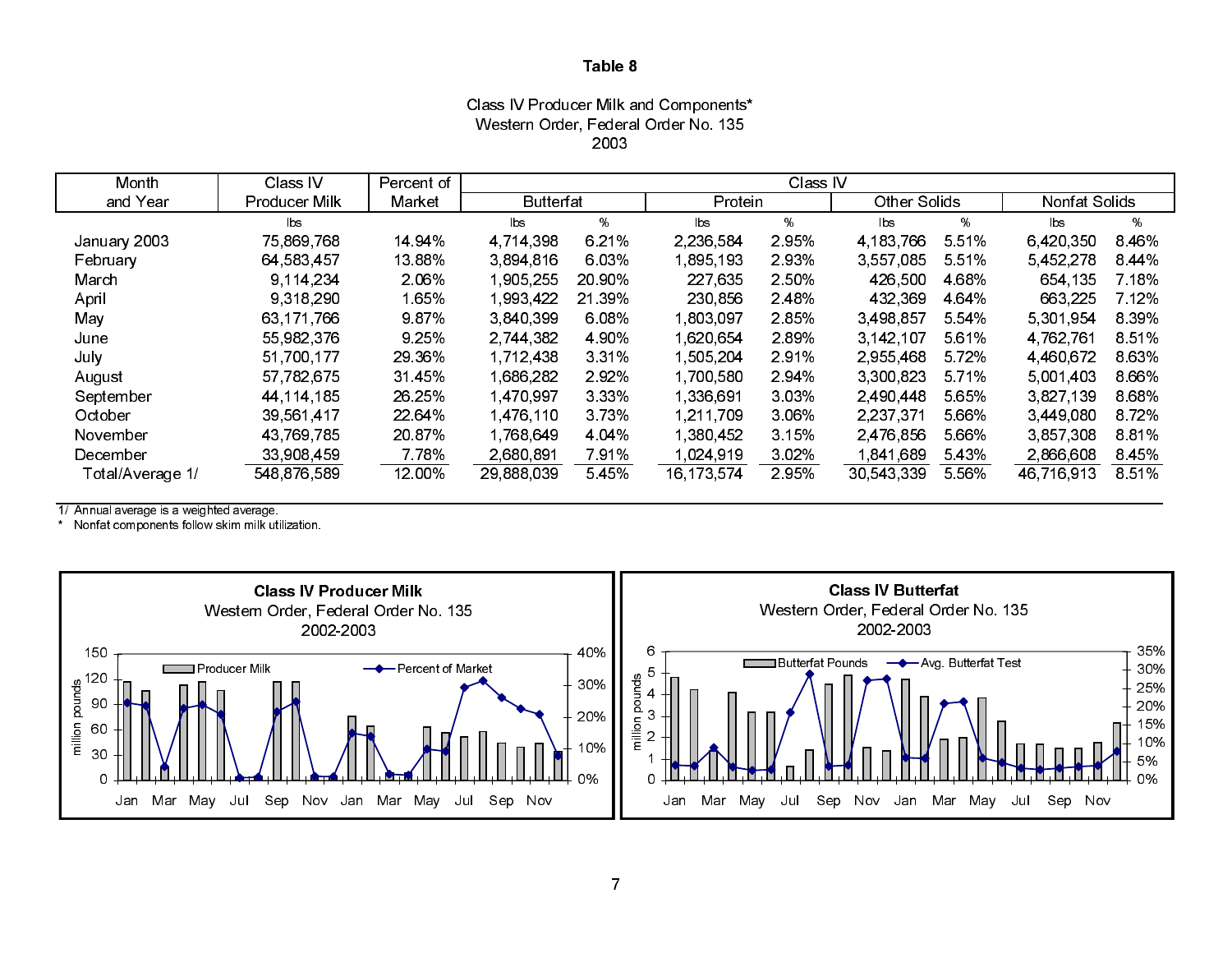Class IV Producer Milk and Components\* Western Order, Federal Order No. 135 2003

| Month            | Class IV       | Percent of |                  |         |                | Class IV |                     |         |               |         |
|------------------|----------------|------------|------------------|---------|----------------|----------|---------------------|---------|---------------|---------|
| and Year         | Producer Milk  | Market     | <b>Butterfat</b> |         | Protein        |          | <b>Other Solids</b> |         | Nonfat Solids |         |
|                  | $\mathsf{lbs}$ |            | <b>bs</b>        | %       | $\mathsf{lbs}$ | %        | lbs                 | %       | lbs.          | %       |
| January 2003     | 75,869,768     | 14 94%     | 4 7 14 3 98      | 6.21%   | 2.236.584      | 2.95%    | 4 183 766           | 5.51%   | 6 420 350     | 8.46%   |
| February         | 64 583 457     | 13 88%     | 3 894 816        | 6.03%   | 1,895,193      | 293%     | 3 557 085           | 5 5 1 % | 5,452,278     | 8 4 4 % |
| March            | 9.114,234      | 2.06%      | 1,905,255        | 20 90%  | 227,635        | 2.50%    | 426,500             | 4 68%   | 654,135       | 7.18%   |
| April            | 9 3 18 2 90    | 1.65%      | 1,993,422        | 21 39%  | 230,856        | 2.48%    | 432,369             | 4 64%   | 663,225       | 7 12%   |
| May              | 63 171 766     | 987%       | 3 840 399        | 6.08%   | 803.097        | 285%     | 3 498 857           | 5 54%   | 5 301 954     | 8.39%   |
| June             | 55,982,376     | 9 25%      | 2.744,382        | 4 90%   | 1.620.654      | 2.89%    | 3 142 107           | 5 6 1%  | 4 762 761     | 8.51%   |
| July             | 51,700,177     | 29 36%     | 1,712,438        | 3 3 1 % | 505,204        | 291%     | 2,955,468           | 5 7 2 % | 4,460,672     | 8.63%   |
| August           | 57,782,675     | 31 45%     | 1,686,282        | 292%    | 1,700,580      | 294%     | 3 300 823           | 5 7 1 % | 5.001.403     | 8.66%   |
| September        | 44 114 185     | 26 25%     | 1,470,997        | 3 3 3 % | l 336,691      | 3.03%    | 2 490 448           | 5 65%   | 3,827,139     | 8.68%   |
| October          | 39,561,417     | 22 64%     | 1,476,110        | 373%    | 1 211 709      | 3.06%    | 2 2 3 7 3 7 1       | 5.66%   | 3,449,080     | 872%    |
| November         | 43 769 785     | 20 87%     | 1768.649         | 4 04%   | 1.380.452      | 3 15%    | 2 476 856           | 5 66%   | 3 857 308     | 8.81%   |
| December         | 33,908,459     | 7 7 8 %    | 2,680,891        | 791%    | 1.024.919      | 3.02%    | 1,841,689           | 5 4 3 % | 2,866,608     | 8.45%   |
| Total/Average 1/ | 548,876,589    | 12 00%     | 29,888,039       | 5 4 5 % | 16, 173, 574   | 2.95%    | 30,543,339          | 5 5 6%  | 46,716,913    | 851%    |

1/ Annual average is a weighted average.

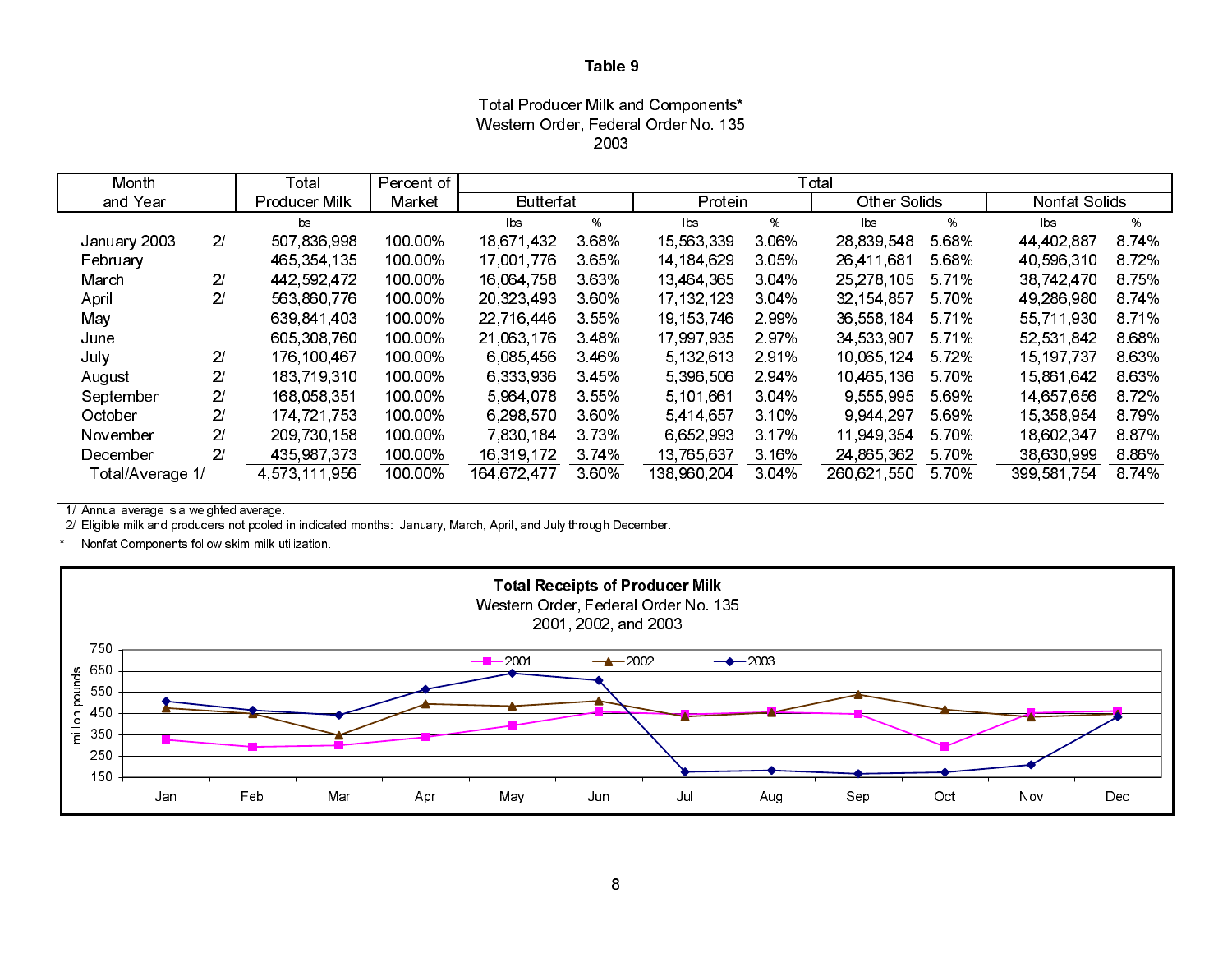Total Producer Milk and Components\* Western Order, Federal Order No. 135 2003

| Month            |                | Total         | Percent of |                        |       |              |       | Total               |       |                |         |
|------------------|----------------|---------------|------------|------------------------|-------|--------------|-------|---------------------|-------|----------------|---------|
| and Year         |                | Producer Milk | Market     | <b>Butterfat</b>       |       | Protein      |       | <b>Other Solids</b> |       | Nonfat Solids  |         |
|                  |                | b s           |            | $\mathsf{b}\mathsf{s}$ | %     | lbs.         | %     | bs                  | %     | $\mathsf{lbs}$ | %       |
| January 2003     | 2 <sub>l</sub> | 507,836,998   | 100 00%    | 18 671 432             | 3.68% | 15,563,339   | 3.06% | 28,839,548          | 568%  | 44 402 887     | 874%    |
| February         |                | 465 354 135   | 100.00%    | 17,001,776             | 3.65% | 14, 184, 629 | 3.05% | 26 411 681          | 568%  | 40,596,310     | 872%    |
| March            | 21             | 442 592 472   | 100.00%    | 16,064,758             | 3.63% | 13.464.365   | 3.04% | 25, 278, 105        | 571%  | 38 742 470     | 8.75%   |
| April            | 21             | 563,860,776   | 100.00%    | 20,323,493             | 3.60% | 17, 132, 123 | 3.04% | 32 154 857          | 570%  | 49,286,980     | 8.74%   |
| May              |                | 639 841 403   | 100.00%    | 22 716 446             | 3.55% | 19 153 746   | 2.99% | 36,558,184          | 5.71% | 55 711 930     | 8 7 1 % |
| June             |                | 605 308 760   | 100.00%    | 21,063,176             | 3.48% | 17 997 935   | 297%  | 34 533 907          | 571%  | 52 531 842     | 868%    |
| July             | 21             | 176,100,467   | 100.00%    | 6,085,456              | 3.46% | 5, 132, 613  | 2.91% | 10.065.124          | 572%  | 15, 197, 737   | 863%    |
| August           | 21             | 183 719 310   | 100.00%    | 6,333,936              | 3.45% | 5,396,506    | 2.94% | 10.465.136          | 5.70% | 15.861.642     | 863%    |
| September        | 21             | 168,058,351   | 100.00%    | 5 964 078              | 3.55% | 5 101 661    | 3.04% | 9,555,995           | 569%  | 14 657 656     | 872%    |
| October          | 21             | 174 721 753   | 100.00%    | 6,298,570              | 3.60% | 5.414,657    | 3.10% | 9 944 297           | 569%  | 15,358,954     | 879%    |
| November         | 21             | 209 730 158   | 100 00%    | 7 830 184              | 3.73% | 6.652.993    | 3.17% | 11.949.354          | 5.70% | 18,602,347     | 887%    |
| December         | 21             | 435 987 373   | 100.00%    | 16,319,172             | 374%  | 13,765,637   | 3.16% | 24,865,362          | 570%  | 38,630,999     | 8.86%   |
| Total/Average 1/ |                | 4 573 111 956 | 100.00%    | 164 672 477            | 3.60% | 138 960 204  | 3.04% | 260,621,550         | 570%  | 399 581 754    | 874%    |

1/ Annual average is a weighted average.

2/ Eligible milk and producers not pooled in indicated months: January, March, April, and July through December.

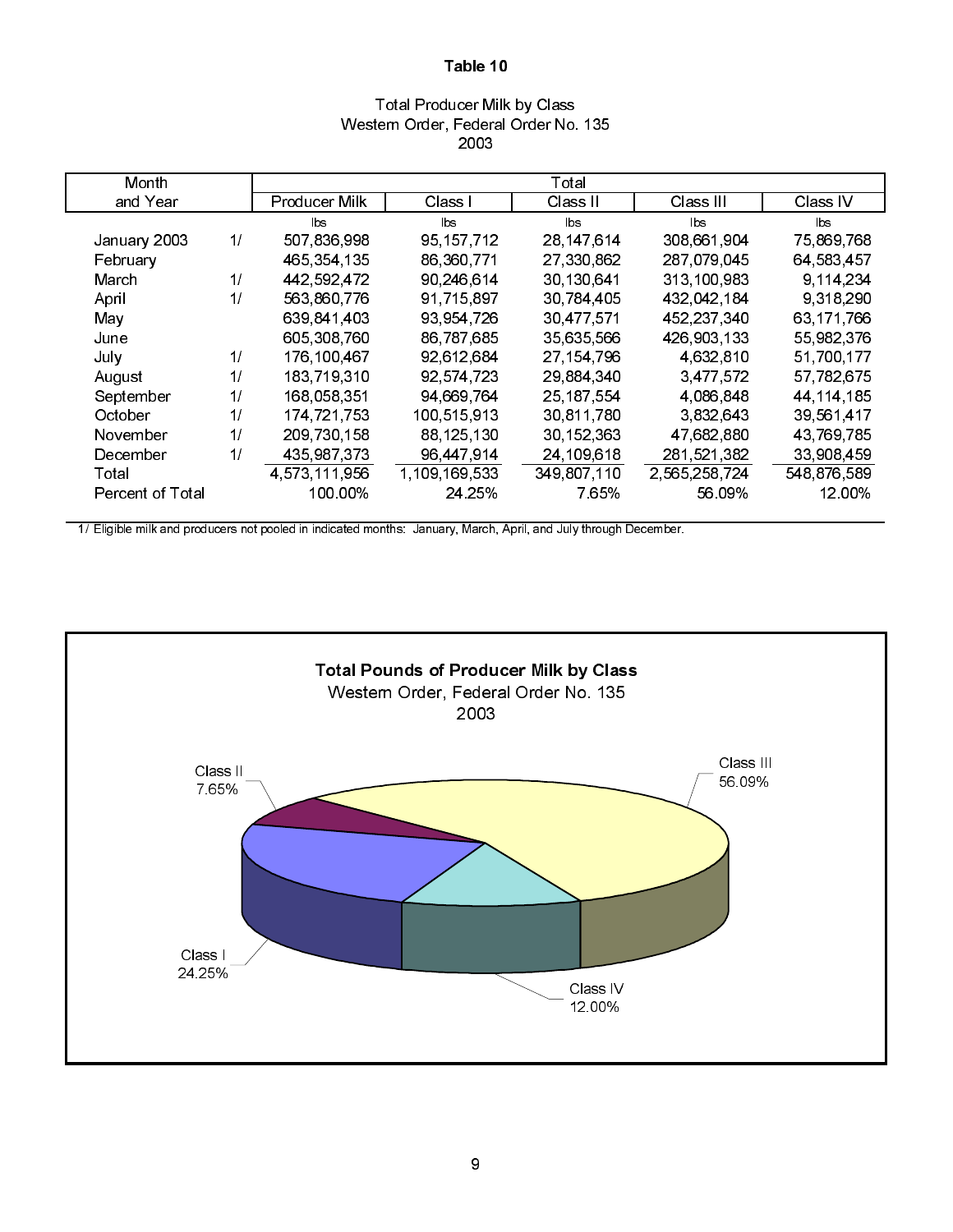## Total Producer Milk by Class Western Order, Federal Order No. 135 2003

| Month            |    |                      |               | Total        |               |                        |
|------------------|----|----------------------|---------------|--------------|---------------|------------------------|
| and Year         |    | <b>Producer Milk</b> | Class I       | Class II     | Class III     | Class IV               |
|                  |    | <b>lbs</b>           | lbs           | lbs.         | <b>lbs</b>    | $\mathsf{b}\mathsf{s}$ |
| January 2003     | 1/ | 507,836,998          | 95 157 712    | 28 147 614   | 308,661,904   | 75,869,768             |
| February         |    | 465, 354, 135        | 86 360 771    | 27,330,862   | 287 079 045   | 64,583,457             |
| March            | 1/ | 442,592,472          | 90,246,614    | 30,130,641   | 313,100,983   | 9.114.234              |
| April            | 1/ | 563,860,776          | 91,715,897    | 30,784,405   | 432,042,184   | 9 318 290              |
| May              |    | 639 841 403          | 93 954 726    | 30.477.571   | 452 237 340   | 63 171 766             |
| June             |    | 605 308 760          | 86,787,685    | 35,635,566   | 426,903,133   | 55,982,376             |
| July             | 1/ | 176,100,467          | 92,612,684    | 27, 154, 796 | 4 632 810     | 51,700,177             |
| August           | 1/ | 183,719,310          | 92,574,723    | 29,884,340   | 3,477,572     | 57,782,675             |
| September        | 1/ | 168 058 351          | 94,669,764    | 25, 187, 554 | 4.086.848     | 44, 114, 185           |
| October          | 1/ | 174,721,753          | 100 515 913   | 30,811,780   | 3.832.643     | 39,561,417             |
| November         | 1/ | 209 730 158          | 88,125,130    | 30, 152, 363 | 47,682,880    | 43,769,785             |
| December         | 1/ | 435,987,373          | 96,447,914    | 24,109,618   | 281,521,382   | 33,908,459             |
| Total            |    | 4,573,111,956        | 1,109,169,533 | 349,807,110  | 2.565.258.724 | 548,876,589            |
| Percent of Total |    | 100.00%              | 24 25%        | 7 65%        | 56 09%        | 12 00%                 |

1/ Eligible milk and producers not pooled in indicated months: January, March, April, and July through December.

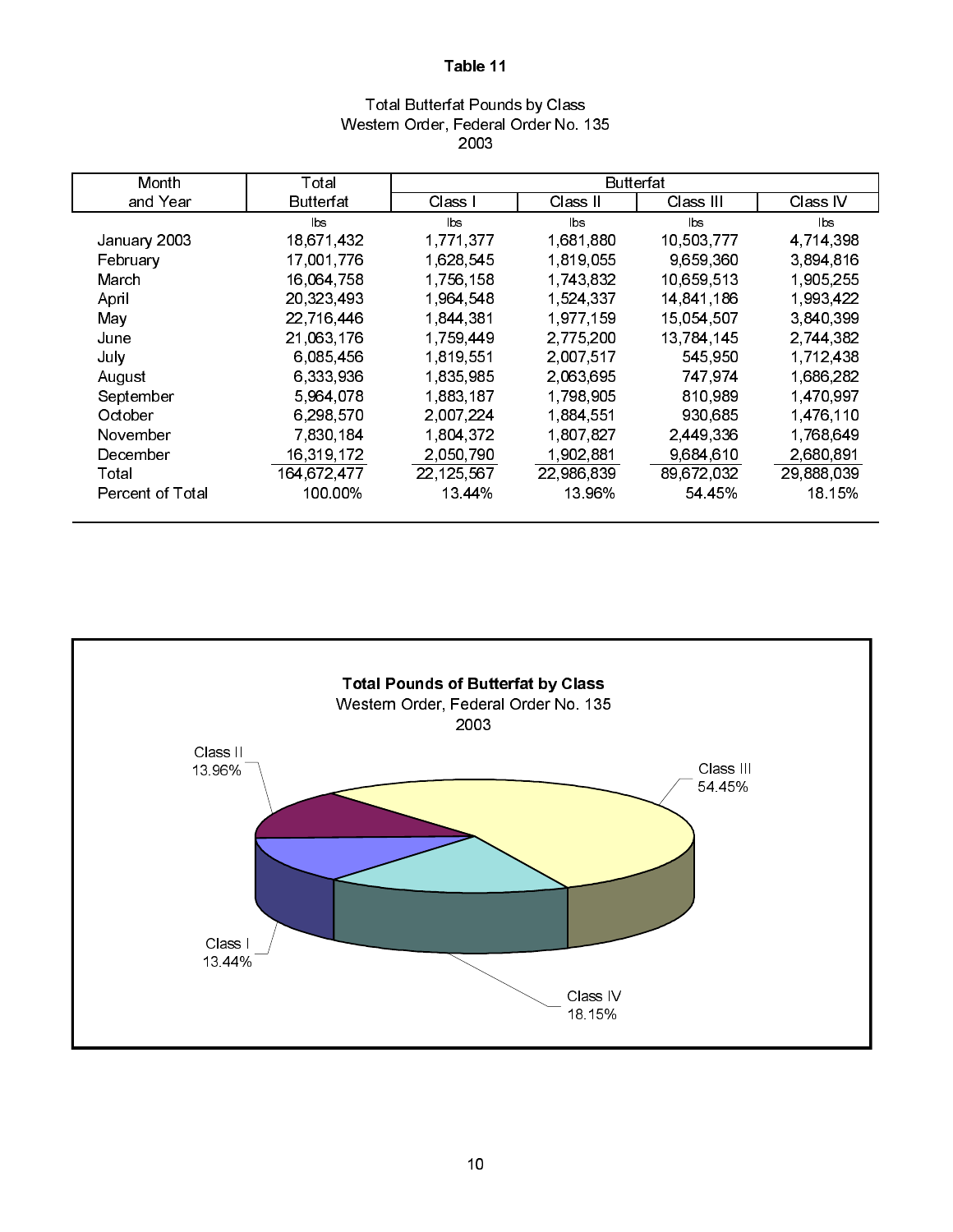## Total Butterfat Pounds by Class Western Order, Federal Order No. 135 2003

| Month                   | Total       |                | Butterfat     |            |            |
|-------------------------|-------------|----------------|---------------|------------|------------|
| and Year                | Butterfat   | Class I        | Class II      | Class III  | Class IV   |
|                         | lbs         | $\mathsf{lbs}$ | <b>lbs</b>    | Ibs        | <b>lbs</b> |
| January 2003            | 18,671,432  | 1,771,377      | 1 681 880     | 10,503,777 | 4.714.398  |
| February                | 17,001,776  | 1,628,545      | 1 8 1 9 0 5 5 | 9 659 360  | 3,894,816  |
| March                   | 16,064,758  | 1,756,158      | 1,743,832     | 10,659,513 | 1,905,255  |
| April                   | 20,323,493  | 1,964,548      | 1,524,337     | 14,841,186 | 1 993,422  |
| May                     | 22,716,446  | 1844381        | 1,977,159     | 15.054.507 | 3,840,399  |
| June                    | 21,063,176  | 1,759,449      | 2,775,200     | 13,784,145 | 2,744,382  |
| July                    | 6,085,456   | 1,819,551      | 2,007,517     | 545,950    | 1,712,438  |
| August                  | 6,333,936   | 1,835,985      | 2.063.695     | 747 974    | 1,686,282  |
| September               | 5,964,078   | 1,883,187      | 1,798,905     | 810,989    | 1,470,997  |
| October                 | 6 298 570   | 2,007,224      | 1.884,551     | 930,685    | 1,476,110  |
| November                | 7,830,184   | 1,804,372      | 1,807,827     | 2,449,336  | 1,768,649  |
| December                | 16,319,172  | 2,050,790      | 1,902,881     | 9,684,610  | 2,680,891  |
| Total                   | 164 672 477 | 22,125,567     | 22,986,839    | 89,672,032 | 29,888,039 |
| <b>Percent of Total</b> | 100 00%     | 13 44%         | 13 96%        | 54 45%     | 18.15%     |
|                         |             |                |               |            |            |

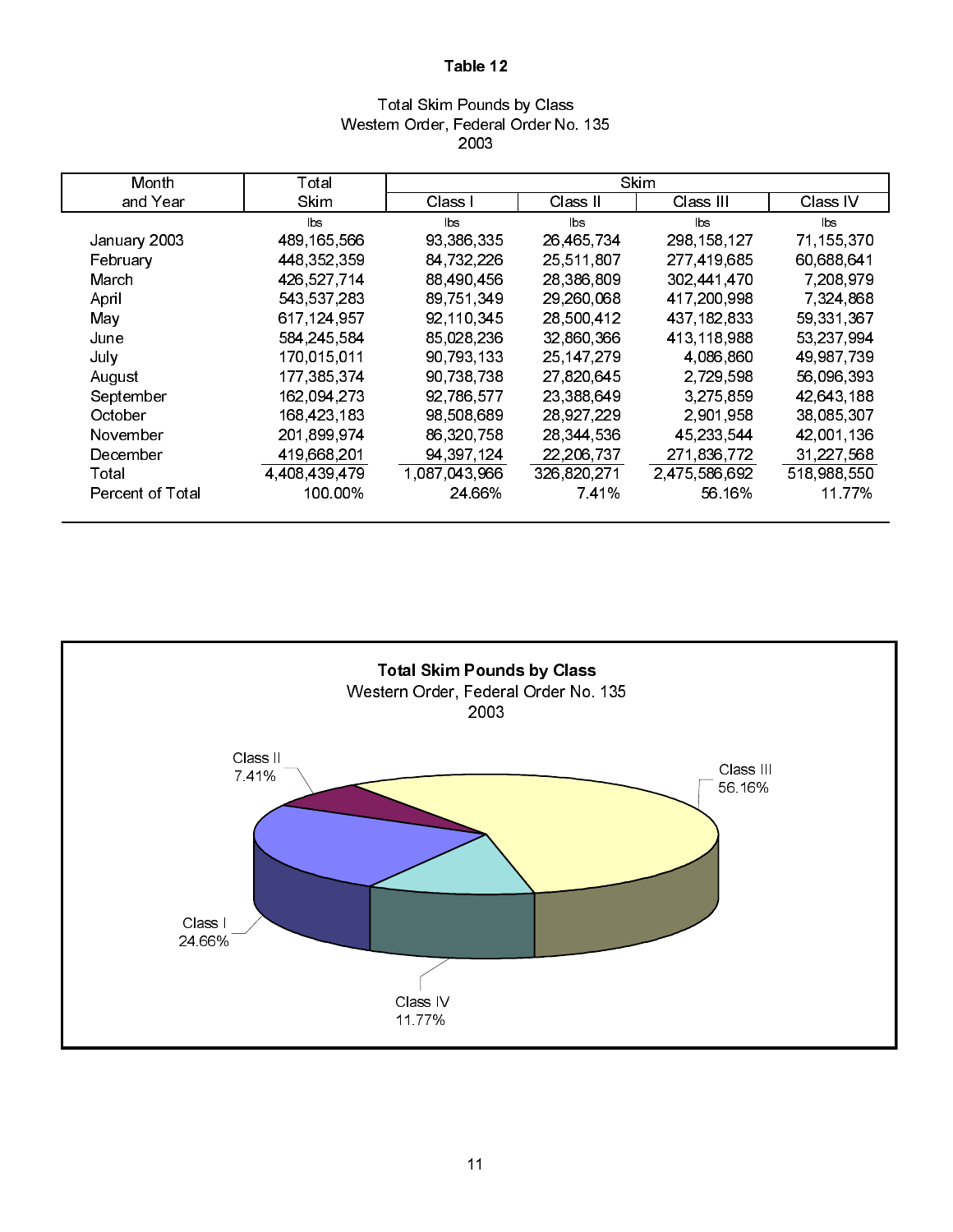## Total Skim Pounds by Class Western Order, Federal Order No. 135 2003

| Month                   | Total            |               |              | <b>Skim</b>   |             |
|-------------------------|------------------|---------------|--------------|---------------|-------------|
| and Year                | <b>Skim</b>      | Class I       | Class II     | Class III.    | Class IV    |
|                         | lbs.             | lbs           | <b>lbs</b>   | lbs.          | <b>lbs</b>  |
| January 2003            | 489, 165, 566    | 93,386,335    | 26,465,734   | 298, 158, 127 | 71,155,370  |
| February                | 448, 352, 359    | 84,732,226    | 25 511 807   | 277 419 685   | 60,688,641  |
| March                   | 426 527 714      | 88 490 456    | 28 386 809   | 302,441,470   | 7,208,979   |
| April                   | 543 537 283      | 89 751 349    | 29 260 068   | 417,200,998   | 7,324,868   |
| May                     | 617 124 957      | 92 110 345    | 28 500 412   | 437 182 833   | 59 331 367  |
| June                    | 584 245 584      | 85,028,236    | 32,860,366   | 413, 118, 988 | 53,237,994  |
| July                    | 170,015,011      | 90, 793, 133  | 25, 147, 279 | 4,086,860     | 49 987 739  |
| August                  | 177 385 374      | 90,738,738    | 27,820,645   | 2,729,598     | 56,096,393  |
| September               | 162,094,273      | 92,786,577    | 23,388,649   | 3,275,859     | 42,643,188  |
| October                 | 168,423,183      | 98,508,689    | 28,927,229   | 2,901,958     | 38,085,307  |
| November                | 201 899 974      | 86,320,758    | 28,344,536   | 45, 233, 544  | 42,001,136  |
| December                | 419,668,201      | 94, 397, 124  | 22,206,737   | 271,836,772   | 31,227,568  |
| Total                   | 4 4 08 4 39 4 79 | 1,087,043,966 | 326 820 271  | 2.475,586,692 | 518 988 550 |
| <b>Percent of Total</b> | 100 00%          | 24 66%        | 741%         | 56 16%        | 11 77%      |

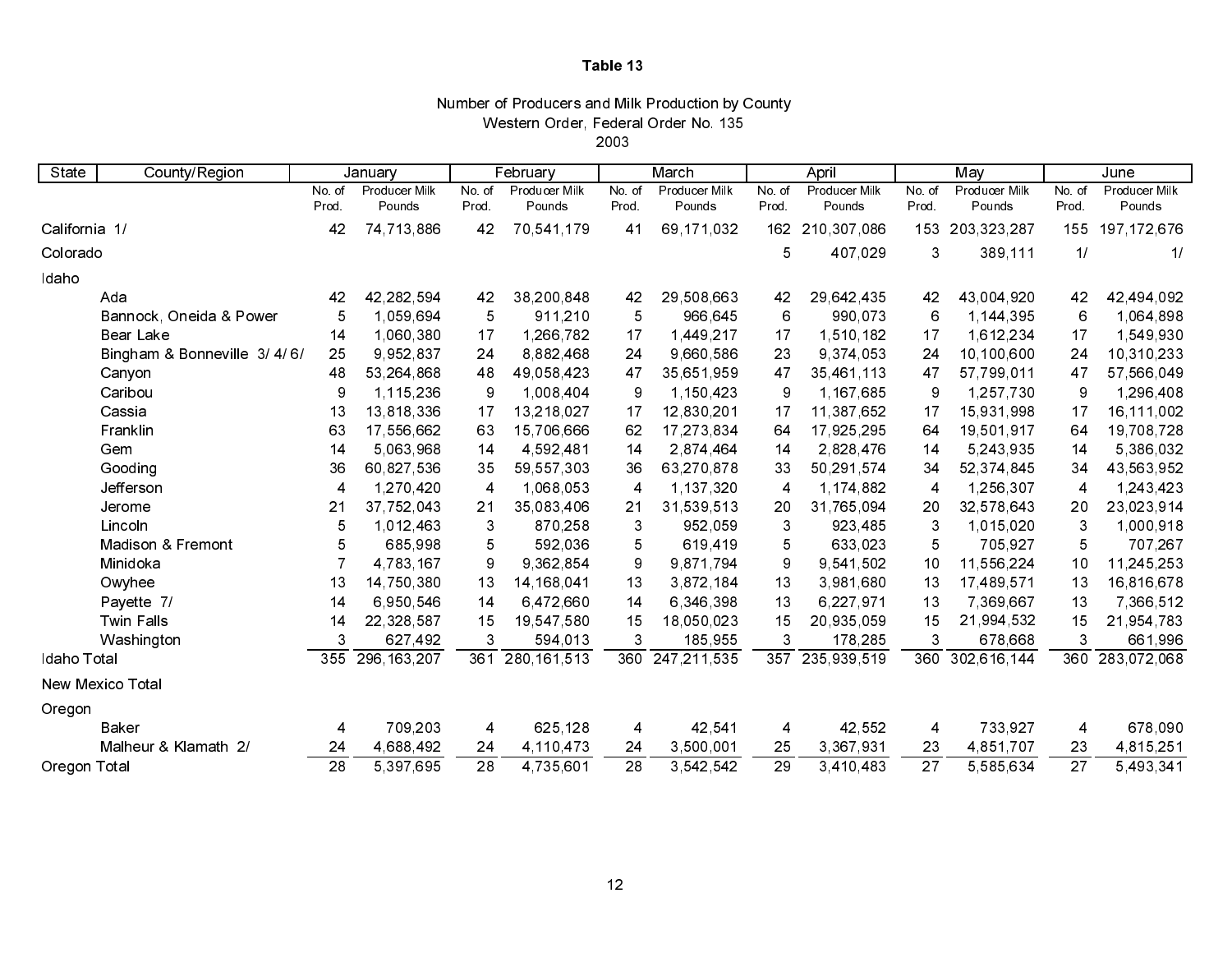### Number of Producers and Milk Production by County Western Order, Federal Order No. 135

2003

| State         | County/Region                |                 | January       |                         | February      |        | March         |                         | April         |                 | May           |                 | June          |
|---------------|------------------------------|-----------------|---------------|-------------------------|---------------|--------|---------------|-------------------------|---------------|-----------------|---------------|-----------------|---------------|
|               |                              | No. of          | Producer Milk | No of                   | Producer Milk | No. of | Producer Milk | No. of                  | Producer Milk | No. of          | Producer Milk | No. of          | Producer Milk |
|               |                              | Prod.           | Pounds        | Prod.                   | Pounds        | Prod.  | Pounds        | Prod                    | Pounds        | Prod.           | Pounds        | Prod.           | Pounds        |
| California 1/ |                              | 42              | 74 713 886    | 42                      | 70,541,179    | 41     | 69,171,032    | 162                     | 210,307,086   | 153             | 203, 323, 287 | 155             | 197, 172, 676 |
| Colorado      |                              |                 |               |                         |               |        |               | 5                       | 407,029       | 3               | 389,111       | 1/              | 11            |
| Idaho         |                              |                 |               |                         |               |        |               |                         |               |                 |               |                 |               |
|               | Ada                          | 42              | 42,282,594    | 42                      | 38,200,848    | 42     | 29,508,663    | 42                      | 29,642,435    | 42              | 43,004,920    | 42              | 42,494,092    |
|               | Bannock, Oneida & Power      | 5               | 1,059,694     | 5                       | 911,210       | 5      | 966,645       | 6                       | 990,073       | 6               | 1,144,395     | 6               | 1,064,898     |
|               | <b>Bear Lake</b>             | 14              | 1,060,380     | 17                      | 1,266,782     | 17     | 1,449,217     | 17                      | 1,510,182     | 17              | 1,612,234     | 17              | 1,549,930     |
|               | Bingham & Bonneville 3/4/6/  | 25              | 9,952,837     | 24                      | 8,882,468     | 24     | 9,660,586     | 23                      | 9,374,053     | 24              | 10,100,600    | 24              | 10,310,233    |
|               | Canyon                       | 48              | 53, 264, 868  | 48                      | 49,058,423    | 47     | 35,651,959    | 47                      | 35,461,113    | 47              | 57,799,011    | 47              | 57,566,049    |
|               | Caribou                      | 9               | 1,115,236     | 9                       | 1,008,404     | 9      | 1.150,423     | 9                       | 1,167,685     | 9               | 1,257,730     | 9               | 1,296,408     |
|               | Cassia                       | 13              | 13,818,336    | 17                      | 13,218,027    | 17     | 12,830,201    | 17                      | 11,387,652    | 17              | 15,931,998    | 17              | 16,111,002    |
|               | Franklin                     | 63              | 17,556,662    | 63                      | 15,706,666    | 62     | 17, 273, 834  | 64                      | 17,925,295    | 64              | 19,501,917    | 64              | 19,708,728    |
|               | Gem                          | 14              | 5,063,968     | 14                      | 4,592,481     | 14     | 2,874,464     | 14                      | 2,828,476     | 14              | 5,243,935     | 14              | 5,386,032     |
|               | Gooding                      | 36              | 60,827,536    | 35                      | 59, 557, 303  | 36     | 63,270,878    | 33                      | 50,291,574    | 34              | 52 374 845    | 34              | 43,563,952    |
|               | Jefferson                    | $\overline{4}$  | 1,270,420     | 4                       | 1,068,053     | 4      | 1,137,320     | $\overline{\mathbf{4}}$ | 1,174,882     | 4               | 1,256,307     | 4               | 1,243,423     |
|               | Jerome                       | 21              | 37,752,043    | 21                      | 35,083,406    | 21     | 31,539,513    | 20                      | 31,765,094    | 20              | 32 578 643    | 20              | 23,023,914    |
|               | Lincoln                      | 5               | 1,012,463     | 3                       | 870,258       | 3      | 952,059       | 3                       | 923,485       | 3               | 1,015,020     | 3               | 1,000,918     |
|               | <b>Madison &amp; Fremont</b> | 5               | 685,998       | $\overline{5}$          | 592,036       | 5      | 619.419       | 5                       | 633.023       | 5               | 705 927       | 5               | 707,267       |
|               | Minidoka                     |                 | 4,783,167     | 9                       | 9,362,854     | 9      | 9.871,794     | 9                       | 9,541,502     | 10              | 11,556,224    | 10              | 11,245,253    |
|               | Owyhee                       | 13              | 14,750,380    | 13                      | 14, 168, 041  | 13     | 3,872,184     | 13                      | 3,981,680     | 13              | 17,489,571    | 13              | 16,816,678    |
|               | Payette 7/                   | 14              | 6,950,546     | 14                      | 6,472,660     | 14     | 6,346,398     | 13                      | 6,227,971     | 13              | 7,369,667     | 13              | 7,366,512     |
|               | <b>Twin Falls</b>            | 14              | 22,328,587    | 15                      | 19,547,580    | 15     | 18,050,023    | 15                      | 20,935,059    | 15              | 21,994,532    | 15              | 21,954,783    |
|               | Washington                   | 3               | 627,492       | 3                       | 594,013       | 3      | 185,955       | 3                       | 178,285       | 3               | 678,668       | 3               | 661,996       |
| Idaho Total   |                              | 355             | 296, 163, 207 | 361                     | 280, 161, 513 | 360    | 247,211,535   | 357                     | 235,939,519   | 360             | 302,616,144   | 360             | 283,072,068   |
|               | New Mexico Total             |                 |               |                         |               |        |               |                         |               |                 |               |                 |               |
| Oregon        |                              |                 |               |                         |               |        |               |                         |               |                 |               |                 |               |
|               | <b>Baker</b>                 | 4               | 709,203       | $\overline{\mathbf{4}}$ | 625,128       | 4      | 42 541        | $\overline{\mathbf{4}}$ | 42 552        | 4               | 733,927       | 4               | 678,090       |
|               | Malheur & Klamath 2/         | 24              | 4,688,492     | 24                      | 4,110,473     | 24     | 3,500,001     | 25                      | 3,367,931     | 23              | 4,851,707     | 23              | 4,815,251     |
| Oregon Total  |                              | $\overline{28}$ | 5,397,695     | $\overline{28}$         | 4,735,601     | 28     | 3,542,542     | $\overline{29}$         | 3,410,483     | $\overline{27}$ | 5,585,634     | $\overline{27}$ | 5,493,341     |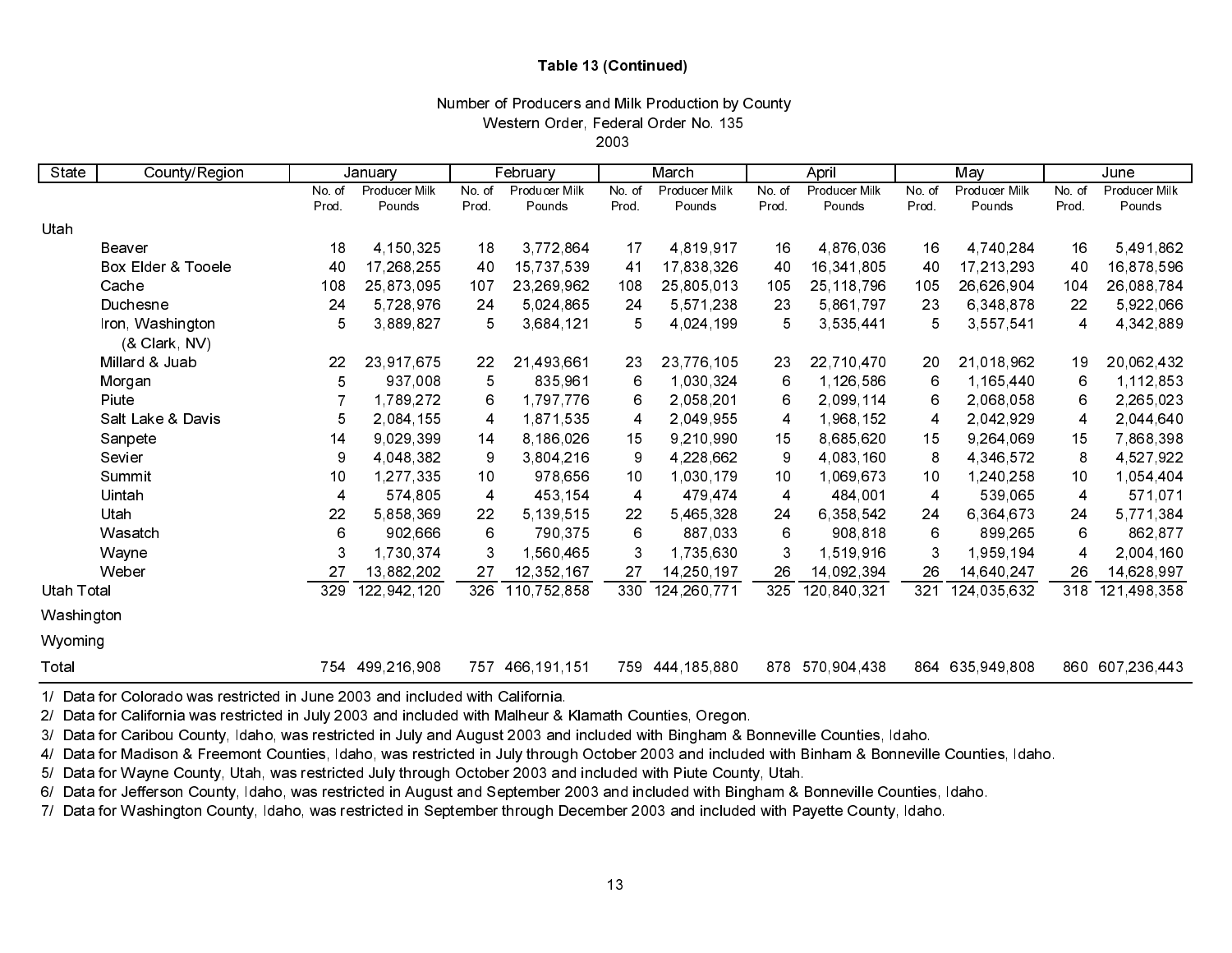## Table 13 (Continued)

## Number of Producers and Milk Production by County Western Order, Federal Order No. 135

2003

| State             | County/Region                     |                | January       |        | February          |       | March         |       | April         |        | May             |                | June            |
|-------------------|-----------------------------------|----------------|---------------|--------|-------------------|-------|---------------|-------|---------------|--------|-----------------|----------------|-----------------|
|                   |                                   | No of          | Producer Milk | No. of | Producer Milk     | No of | Producer Milk | No of | Producer Milk | No. of | Producer Milk   | No. of         | Producer Milk   |
|                   |                                   | Prod.          | Pounds        | Prod.  | Pounds            | Prod. | Pounds        | Prod. | Pounds        | Prod.  | Pounds          | Prod.          | Pounds          |
| Utah              |                                   |                |               |        |                   |       |               |       |               |        |                 |                |                 |
|                   | Beaver                            | 18             | 4,150,325     | 18     | 3,772,864         | 17    | 4,819,917     | 16    | 4 876 036     | 16     | 4,740,284       | 16             | 5,491,862       |
|                   | <b>Box Elder &amp; Tooele</b>     | 40             | 17,268,255    | 40     | 15,737,539        | 41    | 17,838,326    | 40    | 16,341,805    | 40     | 17,213,293      | 40             | 16,878,596      |
|                   | Cache                             | 108            | 25,873,095    | 107    | 23, 269, 962      | 108   | 25,805,013    | 105   | 25, 118, 796  | 105    | 26,626,904      | 104            | 26,088,784      |
|                   | Duchesne                          | 24             | 5,728,976     | 24     | 5,024,865         | 24    | 5,571,238     | 23    | 5,861,797     | 23     | 6,348,878       | 22             | 5,922,066       |
|                   | Iron, Washington<br>(& Clark, NV) | 5              | 3,889,827     | 5      | 3,684,121         | 5     | 4,024,199     | 5     | 3,535,441     | 5      | 3,557,541       | 4              | 4,342,889       |
|                   | Millard & Juab                    | 22             | 23,917,675    | 22     | 21,493,661        | 23    | 23,776,105    | 23    | 22,710,470    | 20     | 21,018,962      | 19             | 20,062,432      |
|                   | Morgan                            | 5              | 937,008       | 5      | 835,961           | 6     | 1,030,324     | 6     | 1,126,586     | 6      | 1,165,440       | 6              | 1,112,853       |
|                   | Piute                             |                | 1,789,272     | 6      | 1,797,776         | 6     | 2,058,201     | 6     | 2,099,114     | 6      | 2,068,058       | 6              | 2,265,023       |
|                   | Salt Lake & Davis                 | 5              | 2,084,155     | 4      | 1,871,535         | 4     | 2,049,955     | 4     | 1,968,152     | 4      | 2,042,929       | 4              | 2,044,640       |
|                   | Sanpete                           | 14             | 9,029,399     | 14     | 8,186,026         | 15    | 9,210,990     | 15    | 8,685,620     | 15     | 9,264,069       | 15             | 7,868,398       |
|                   | Sevier                            | 9              | 4,048,382     | 9      | 3,804,216         | 9     | 4,228,662     | 9     | 4,083,160     | 8      | 4 346 572       | 8              | 4,527,922       |
|                   | Summit                            | 10             | 1,277,335     | 10     | 978,656           | 10    | 1,030,179     | 10    | 1,069,673     | 10     | 1,240,258       | 10             | 1,054,404       |
|                   | Uintah                            | $\overline{4}$ | 574,805       | 4      | 453,154           | 4     | 479,474       | 4     | 484,001       | 4      | 539,065         | 4              | 571,071         |
|                   | Utah                              | 22             | 5858369       | 22     | 5, 139, 515       | 22    | 5,465,328     | 24    | 6,358,542     | 24     | 6,364,673       | 24             | 5,771,384       |
|                   | Wasatch                           | $\,6$          | 902,666       | 6      | 790,375           | $\,6$ | 887,033       | 6     | 908,818       | 6      | 899,265         | 6              | 862,877         |
|                   | Wayne                             | 3              | 1,730,374     | 3      | 1,560,465         | 3     | 1,735,630     | 3     | 1,519,916     | 3      | 1,959,194       | $\overline{4}$ | 2,004,160       |
|                   | Weber                             | 27             | 13,882,202    | 27     | 12,352,167        | 27    | 14,250,197    | 26    | 14,092,394    | 26     | 14,640,247      | 26             | 14,628,997      |
| <b>Utah Total</b> |                                   | 329            | 122,942,120   | 326    | 110,752,858       | 330   | 124,260,771   | 325   | 120,840,321   | 321    | 124,035,632     | 318            | 121,498,358     |
| Washington        |                                   |                |               |        |                   |       |               |       |               |        |                 |                |                 |
| Wyoming           |                                   |                |               |        |                   |       |               |       |               |        |                 |                |                 |
| Total             |                                   | 754.           | 499,216,908   |        | 757 466, 191, 151 | 759   | 444,185,880   | 878   | 570,904,438   |        | 864 635,949,808 |                | 860 607,236,443 |

1/ Data for Colorado was restricted in June 2003 and included with California.

2/ Data for California was restricted in July 2003 and included with Malheur & Klamath Counties, Oregon.

3/ Data for Caribou County, Idaho, was restricted in July and August 2003 and included with Bingham & Bonneville Counties, Idaho.

4/ Data for Madison & Freemont Counties, Idaho, was restricted in July through October 2003 and included with Binham & Bonneville Counties, Idaho.

5/ Data for Wayne County, Utah, was restricted July through October 2003 and included with Piute County, Utah.

6/ Data for Jefferson County, Idaho, was restricted in August and September 2003 and included with Bingham & Bonneville Counties, Idaho.

7/ Data for Washington County, Idaho, was restricted in September through December 2003 and included with Payette County, Idaho.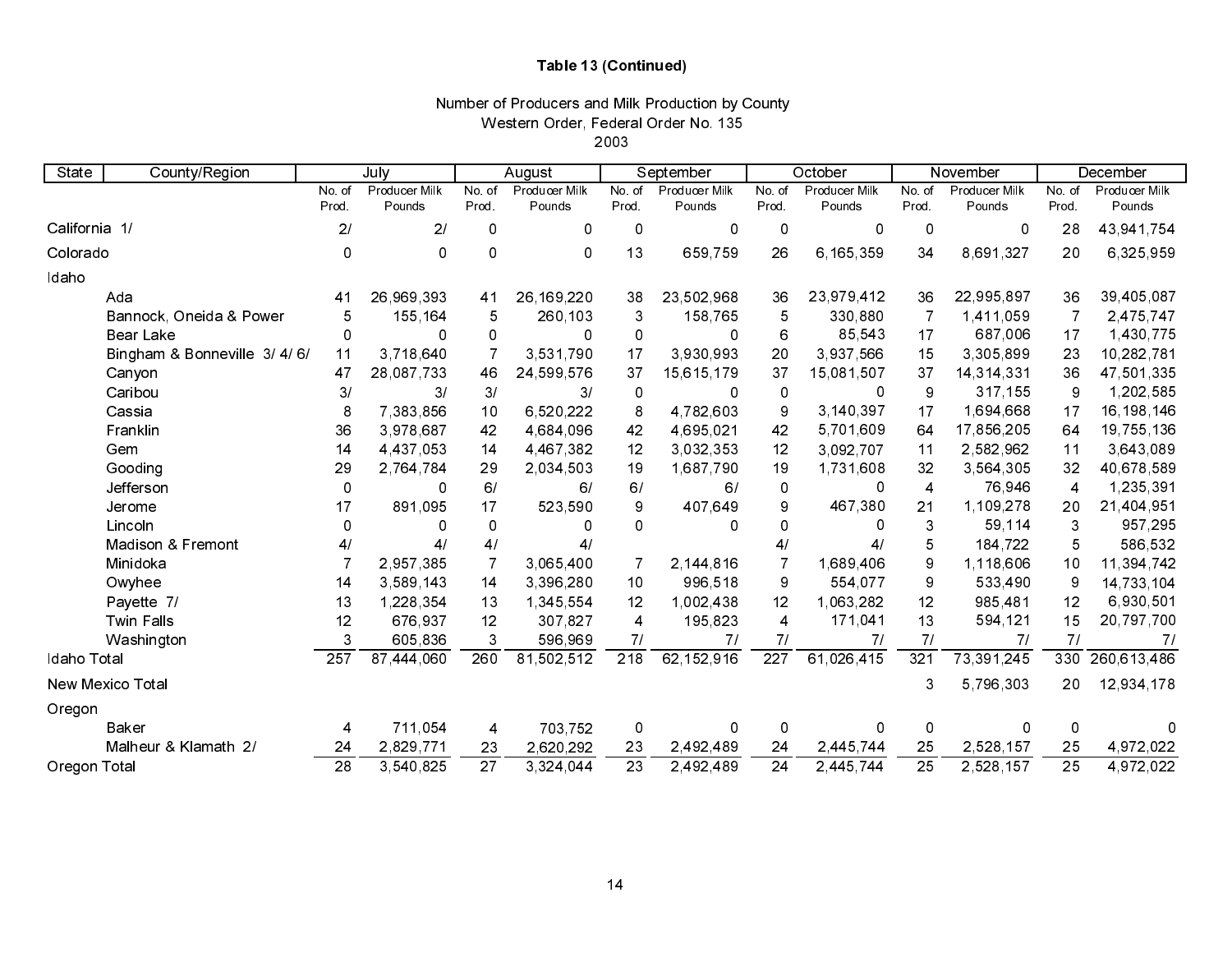## Table 13 (Continued)

## Number of Producers and Milk Production by County Western Order, Federal Order No. 135

2003

| State         | County/Region                |                  | July          |                 | August        |                  | September     |                         | October       |                 | November      |                 | December      |
|---------------|------------------------------|------------------|---------------|-----------------|---------------|------------------|---------------|-------------------------|---------------|-----------------|---------------|-----------------|---------------|
|               |                              | No of            | Producer Milk | No. of          | Producer Milk | No of            | Producer Milk | No. of                  | Producer Milk | No. of          | Producer Milk | No. of          | Producer Milk |
|               |                              | Prod.            | Pounds        | Prod.           | Pounds        | Prod.            | Pounds        | Prod.                   | Pounds        | Prod.           | Pounds        | Prod.           | Pounds        |
| California 1/ |                              | 21               | 21            | 0               | 0             | 0                | 0             | 0                       | 0             | 0               | 0             | 28              | 43,941,754    |
| Colorado      |                              | $\Omega$         | 0             | 0               | 0             | 13               | 659,759       | 26                      | 6,165,359     | 34              | 8,691,327     | 20              | 6,325,959     |
| Idaho         |                              |                  |               |                 |               |                  |               |                         |               |                 |               |                 |               |
|               | Ada                          | 41               | 26,969,393    | 41              | 26, 169, 220  | 38               | 23,502,968    | 36                      | 23,979,412    | 36              | 22,995,897    | 36              | 39,405,087    |
|               | Bannock, Oneida & Power      | 5                | 155,164       | 5               | 260,103       | 3                | 158,765       | 5                       | 330,880       | $\overline{7}$  | 1,411,059     |                 | 2.475.747     |
|               | <b>Bear Lake</b>             | 0                | Ω             | 0               | $\Omega$      | 0                | 0             | 6                       | 85,543        | 17              | 687,006       | 17              | 1,430,775     |
|               | Bingham & Bonneville 3/4/6/  | 11               | 3,718,640     |                 | 3 531 790     | 17               | 3 930 993     | 20                      | 3.937.566     | 15              | 3,305,899     | 23              | 10,282,781    |
|               | Canyon                       | 47               | 28,087,733    | 46              | 24,599,576    | 37               | 15,615,179    | 37                      | 15,081,507    | 37              | 14,314,331    | 36              | 47,501,335    |
|               | Caribou                      | 3/               | 3/            | 3/              | 3/            | 0                | 0             | $\pmb{0}$               | 0             | 9               | 317, 155      | 9               | 1,202,585     |
|               | Cassia                       | 8                | 7,383,856     | 10              | 6,520,222     | 8                | 4 782 603     | 9                       | 3,140,397     | 17              | 1,694,668     | 17              | 16, 198, 146  |
|               | Franklin                     | 36               | 3,978,687     | 42              | 4,684,096     | 42               | 4,695,021     | 42                      | 5,701,609     | 64              | 17,856,205    | 64              | 19,755,136    |
|               | Gem                          | 14               | 4,437,053     | 14              | 4,467,382     | 12               | 3.032.353     | 12                      | 3,092,707     | 11              | 2,582,962     | 11              | 3,643,089     |
|               | Gooding                      | 29               | 2,764,784     | 29              | 2,034,503     | 19               | 1,687,790     | 19                      | 1,731,608     | 32              | 3,564,305     | 32              | 40,678,589    |
|               | Jefferson                    | $\Omega$         | 0             | 6/              | 6/            | 6/               | 6/            | 0                       | 0             | 4               | 76,946        | $\overline{4}$  | 1,235,391     |
|               | Jerome                       | 17               | 891,095       | 17              | 523,590       | 9                | 407,649       | 9                       | 467,380       | 21              | 1,109,278     | 20              | 21,404,951    |
|               | Lincoln                      | $\Omega$         | 0             | 0               | 0             | 0                | 0             | 0                       | 0             | 3               | 59,114        | 3               | 957,295       |
|               | <b>Madison &amp; Fremont</b> | 4/               | 41            | 4/              | 4/            |                  |               | 4/                      | 4/            | 5               | 184,722       | 5               | 586,532       |
|               | Minidoka                     |                  | 2,957,385     | 7               | 3,065,400     |                  | 2,144,816     | $\overline{7}$          | 1,689,406     | 9               | 1,118,606     | 10              | 11,394,742    |
|               | Owyhee                       | 14               | 3,589,143     | 14              | 3,396,280     | 10               | 996,518       | 9                       | 554,077       | 9               | 533,490       | 9               | 14,733,104    |
|               | Payette 7/                   | 13               | 1,228,354     | 13              | 1,345,554     | 12               | 1,002,438     | 12                      | 1,063,282     | 12              | 985,481       | 12              | 6,930,501     |
|               | <b>Twin Falls</b>            | 12               | 676,937       | 12              | 307,827       | 4                | 195 823       | $\overline{\mathbf{4}}$ | 171,041       | 13              | 594,121       | 15              | 20,797,700    |
|               | Washington                   |                  | 605,836       | 3               | 596,969       | 71               | 71            | 71                      | 71            | 71              | 71            | 71              | 71            |
| Idaho Total   |                              | $\overline{257}$ | 87,444,060    | 260             | 81 502 512    | $\overline{218}$ | 62,152,916    | $\overline{227}$        | 61,026,415    | 321             | 73,391,245    | 330             | 260 613 486   |
|               | New Mexico Total             |                  |               |                 |               |                  |               |                         |               | 3               | 5,796,303     | 20              | 12,934,178    |
| Oregon        |                              |                  |               |                 |               |                  |               |                         |               |                 |               |                 |               |
|               | Baker                        | 4                | 711,054       | 4               | 703,752       | 0                | 0             | 0                       | 0             | 0               | 0             | 0               |               |
|               | Malheur & Klamath 2/         | 24               | 2,829,771     | 23              | 2,620,292     | 23               | 2,492,489     | 24                      | 2,445,744     | 25              | 2,528,157     | 25              | 4,972,022     |
| Oregon Total  |                              | $\overline{28}$  | 3,540,825     | $\overline{27}$ | 3,324,044     | $\overline{23}$  | 2492489       | $\overline{24}$         | 2,445,744     | $\overline{25}$ | 2,528,157     | $\overline{25}$ | 4 972 022     |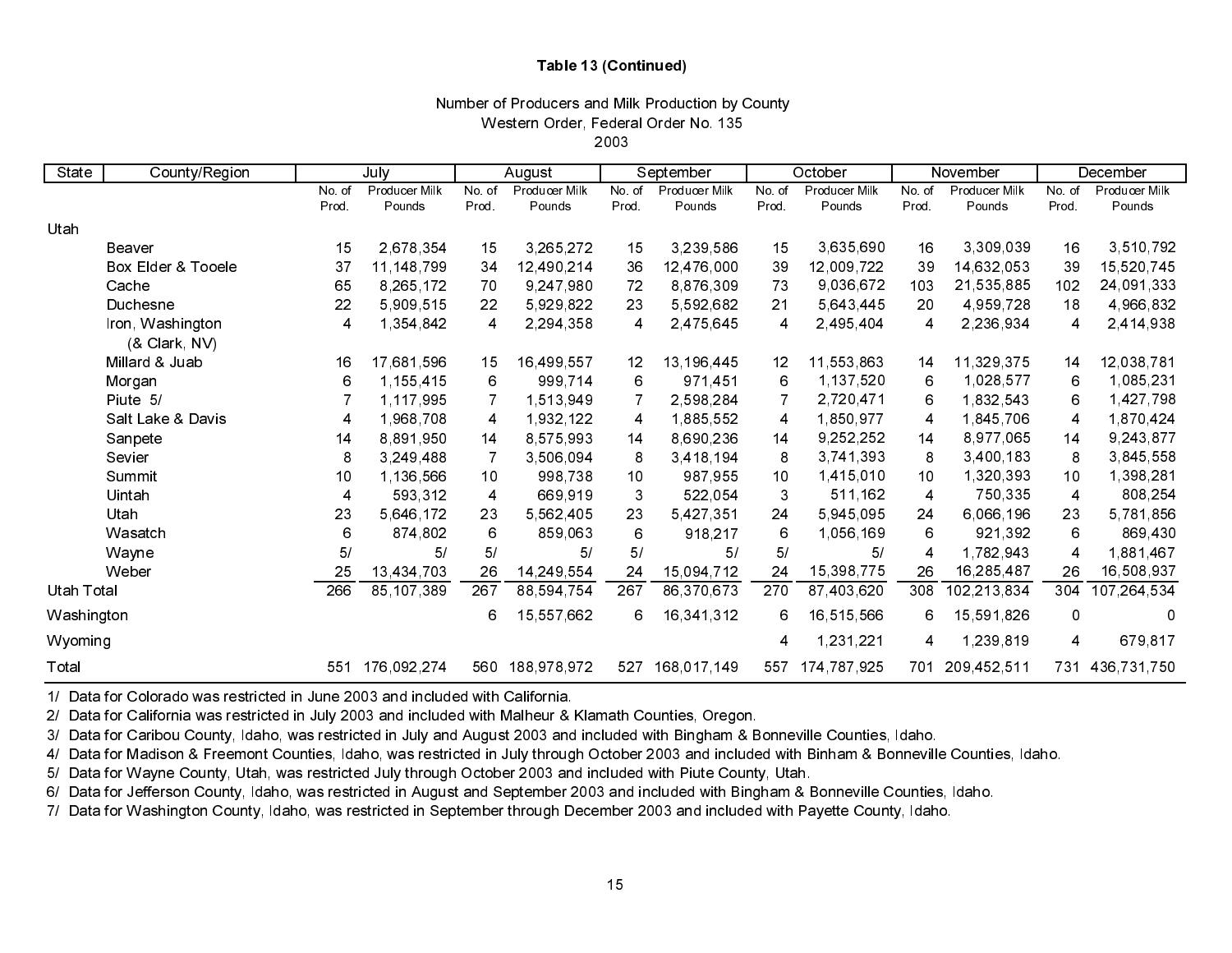## Table 13 (Continued)

# Number of Producers and Milk Production by County Western Order, Federal Order No. 135

2003

| State      | County/Region                     |       | July          |                 | August               |                  | September<br>October<br>November |                  | December      |                |               |                |               |
|------------|-----------------------------------|-------|---------------|-----------------|----------------------|------------------|----------------------------------|------------------|---------------|----------------|---------------|----------------|---------------|
|            |                                   | No of | Producer Milk | No. of          | <b>Producer Milk</b> | No. of           | Producer Milk                    | No. of           | Producer Milk | No. of         | Producer Milk | No. of         | Producer Milk |
|            |                                   | Prod. | Pounds        | Prod            | Pounds               | Prod.            | Pounds                           | Prod.            | Pounds        | Prod.          | Pounds        | Prod.          | Pounds        |
| Utah       |                                   |       |               |                 |                      |                  |                                  |                  |               |                |               |                |               |
|            | Beaver                            | 15    | 2,678,354     | 15              | 3,265,272            | 15               | 3,239,586                        | 15               | 3,635,690     | 16             | 3,309,039     | 16             | 3,510,792     |
|            | Box Elder & Tooele                | 37    | 11, 148, 799  | 34              | 12,490,214           | 36               | 12,476,000                       | 39               | 12,009,722    | 39             | 14,632,053    | 39             | 15,520,745    |
|            | Cache                             | 65    | 8,265,172     | 70              | 9,247,980            | 72               | 8,876,309                        | 73               | 9,036,672     | 103            | 21,535,885    | 102            | 24,091,333    |
|            | Duchesne                          | 22    | 5,909,515     | 22              | 5,929,822            | 23               | 5 592 682                        | 21               | 5,643,445     | 20             | 4,959,728     | 18             | 4,966,832     |
|            | Iron, Washington<br>(& Clark, NV) | 4     | 1,354,842     | 4               | 2,294,358            | 4                | 2,475,645                        | 4                | 2,495,404     | 4              | 2,236,934     | 4              | 2,414,938     |
|            | Millard & Juab                    | 16    | 17,681,596    | 15              | 16,499,557           | 12               | 13,196,445                       | 12               | 11,553,863    | 14             | 11,329,375    | 14             | 12,038,781    |
|            | Morgan                            | 6     | 1,155,415     | 6               | 999,714              | 6                | 971,451                          | 6                | 1,137,520     | 6              | 1,028,577     | 6              | 1,085,231     |
|            | Piute 5/                          |       | 1,117,995     |                 | 1,513,949            |                  | 2,598,284                        |                  | 2,720,471     | 6              | 1,832,543     | 6              | 1,427,798     |
|            | Salt Lake & Davis                 | 4     | 1,968,708     | 4               | 1,932,122            | 4                | 1,885,552                        | 4                | 1,850,977     | 4              | 1,845,706     | 4              | 1,870,424     |
|            | Sanpete                           | 14    | 8,891,950     | 14              | 8 575 993            | 14               | 8,690,236                        | 14               | 9,252,252     | 14             | 8,977,065     | 14             | 9,243,877     |
|            | Sevier                            | 8     | 3,249,488     |                 | 3,506,094            | 8                | 3,418,194                        | 8                | 3,741,393     | 8              | 3,400,183     | 8              | 3,845,558     |
|            | Summit                            | 10    | 1,136,566     | 10 <sub>1</sub> | 998,738              | 10               | 987,955                          | 10               | 1,415,010     | 10             | 1,320,393     | 10             | 1,398,281     |
|            | Uintah                            | 4     | 593,312       | 4               | 669,919              | 3                | 522,054                          | 3                | 511,162       | 4              | 750,335       | $\overline{4}$ | 808,254       |
|            | Utah                              | 23    | 5,646,172     | 23              | 5,562,405            | 23               | 5 427 351                        | 24               | 5,945,095     | 24             | 6,066,196     | 23             | 5,781,856     |
|            | Wasatch                           | 6     | 874,802       | 6               | 859,063              | 6                | 918,217                          | $\,6$            | 1,056,169     | 6              | 921,392       | 6              | 869,430       |
|            | Wayne                             | 5/    | 5/            | 5/              | 5/                   | 5/               | 5/                               | 5/               | 5/            | $\overline{4}$ | 1,782,943     | 4              | 1,881,467     |
|            | Weber                             | 25    | 13,434,703    | 26              | 14,249,554           | 24               | 15,094,712                       | 24               | 15,398,775    | 26             | 16,285,487    | 26             | 16,508,937    |
| Utah Total |                                   | 266   | 85, 107, 389  | 267             | 88,594,754           | $\overline{267}$ | 86,370,673                       | $\overline{270}$ | 87,403,620    | 308            | 102,213,834   | 304            | 107,264,534   |
| Washington |                                   |       |               | 6               | 15,557,662           | 6                | 16,341,312                       | 6                | 16,515,566    | 6              | 15,591,826    | 0              | 0             |
| Wyoming    |                                   |       |               |                 |                      |                  |                                  | 4                | 1,231,221     | 4              | 1,239,819     | $\overline{4}$ | 679,817       |
| Total      |                                   | 551   | 176,092,274   | 560             | 188,978,972          | 527              | 168,017,149                      | 557              | 174,787,925   | 701            | 209,452,511   | 731            | 436,731,750   |

1/ Data for Colorado was restricted in June 2003 and included with California.

2/ Data for California was restricted in July 2003 and included with Malheur & Klamath Counties, Oregon.

3/ Data for Caribou County, Idaho, was restricted in July and August 2003 and included with Bingham & Bonneville Counties, Idaho.

4/ Data for Madison & Freemont Counties, Idaho, was restricted in July through October 2003 and included with Binham & Bonneville Counties, Idaho.

5/ Data for Wayne County, Utah, was restricted July through October 2003 and included with Piute County, Utah.

6/ Data for Jefferson County, Idaho, was restricted in August and September 2003 and included with Bingham & Bonneville Counties, Idaho.

7/ Data for Washington County, Idaho, was restricted in September through December 2003 and included with Payette County, Idaho.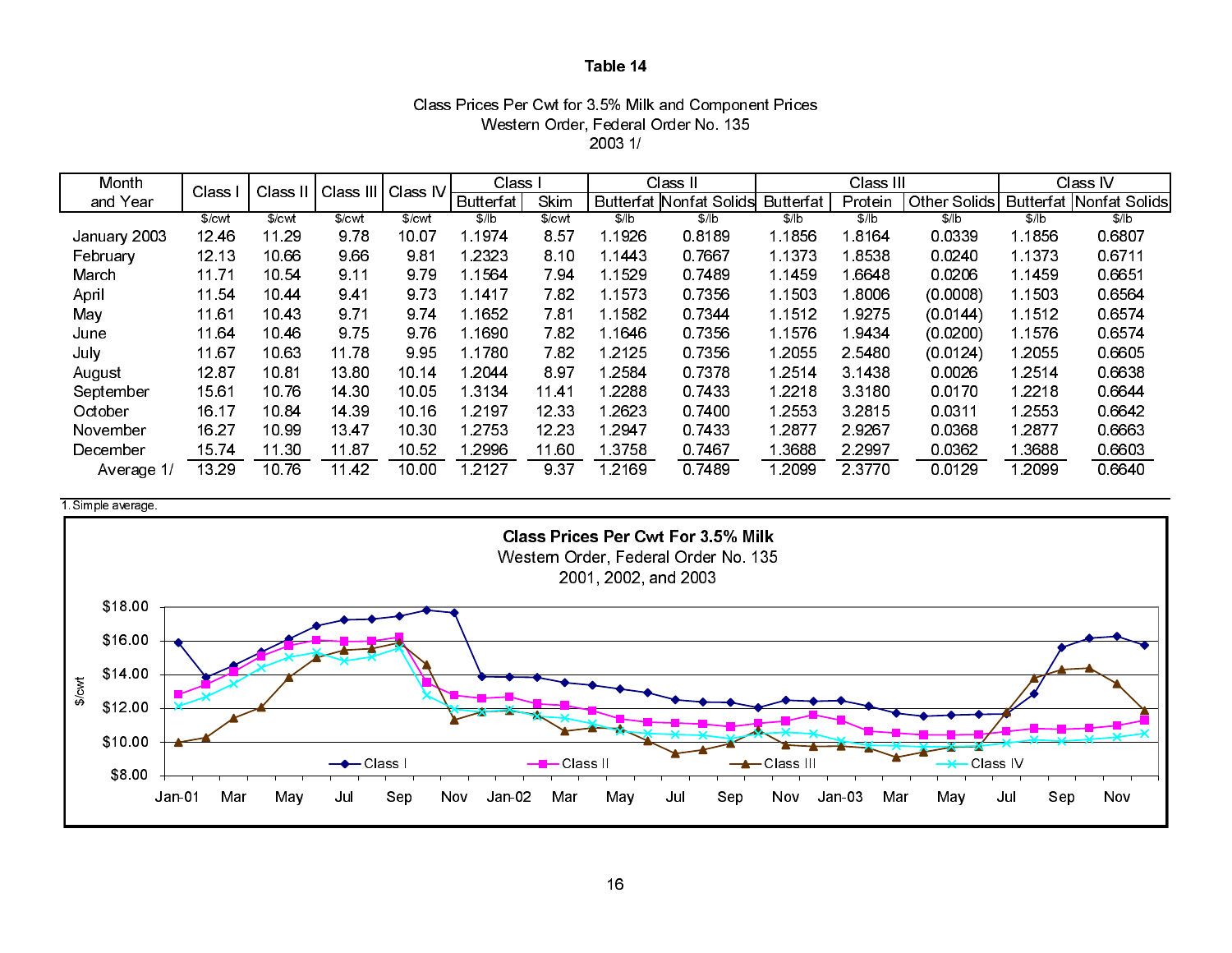## Class Prices Per Cwt for 3.5% Milk and Component Prices Western Order, Federal Order No. 135 2003 1/

| Month        | <b>Class</b>      | Class  | Class III Class IV |        | Class            |         |       | Class II                       |                  | Class III |              |        | Class IV                |
|--------------|-------------------|--------|--------------------|--------|------------------|---------|-------|--------------------------------|------------------|-----------|--------------|--------|-------------------------|
| and Year     |                   |        |                    |        | <b>Butterfat</b> | Skim    |       | <b>Butterfat Nonfat Solids</b> | <b>Butterfat</b> | Protein   | Other Solids |        | Butterfat Nonfat Solids |
|              | \$/ <sub>cv</sub> | \$/cwl | \$/ <sub>cm</sub>  | \$/cwl | \$/lb            | $%$ cwl | \$/ b | \$/lb                          | \$/lb            | \$/lb     | \$/lb        | \$/lb  | \$/ b                   |
| January 2003 | 1246              | 11.29  | 9.78               | 10.07  | 1 1974           | 8.57    | 1926  | 08189                          | 1 1856           | 1.8164    | 0.0339       | 1 1856 | 0.6807                  |
| February     | 12.13             | 10.66  | 9.66               | 981    | 1 2323           | 8.10    | 1443  | 0 7 6 6 7                      | 1 1373           | 18538     | 0.0240       | 1 1373 | 0.6711                  |
| March        | 11.71             | 10.54  | 9 11               | 9.79   | 1.1564           | 7.94    | 1529  | 0.7489                         | 1 1459           | 1.6648    | 0.0206       | 1 1459 | 0.6651                  |
| April        | 11.54             | 10 44  | 9.41               | 9.73   | 1 14 17          | 7.82    | 1573  | 0.7356                         | 1 1503           | 1.8006    | (0.0008)     | 1 1503 | 0.6564                  |
| May          | 11.61             | 10 43  | 9.71               | 9.74   | l 1652           | 781     | 1582  | 07344                          | 1 1512           | 19275     | (0.0144)     | 1 1512 | 0 6574                  |
| June         | 11.64             | 10 46  | 9.75               | 9.76   | l 1690           | 7.82    | 1646  | 0.7356                         | 1 1576           | 1 9434    | (0.0200)     | 1.1576 | 0.6574                  |
| July         | 11.67             | 10.63  | 11.78              | 9.95   | 1.1780           | 7.82    | 2125  | 0.7356                         | 1.2055           | 2 5 4 8 0 | (0.0124)     | 2055   | 0.6605                  |
| August       | 12.87             | 10 81  | 13.80              | 10 14  | 1.2044           | 897     | 2584  | 0.7378                         | 1.2514           | 3.1438    | 0.0026       | 1.2514 | 0.6638                  |
| September    | 15.61             | 10 76  | 14 30              | 10.05  | 1 3134           | 11.41   | 2288  | 0.7433                         | 1 2218           | 3 3 1 8 0 | 0.0170       | 1 2218 | 0.6644                  |
| October      | 16.17             | 10.84  | 14 39              | 10 16  | 1.2197           | 12 33   | 2623  | 0.7400                         | 1.2553           | 3 2 8 1 5 | 0.0311       | 2553   | 0 6 6 4 2               |
| November     | 16.27             | 10.99  | 13.47              | 10.30  | 1 2 7 5 3        | 12.23   | 2947  | 0.7433                         | 1 2877           | 29267     | 0.0368       | 1 2877 | 0.6663                  |
| December     | 1574              | 11.30  | 1187               | 10.52  | 2996             | 11.60   | 3758  | 07467                          | l 3688           | 2 2 9 9 7 | 0.0362       | 3688   | 0.6603                  |
| Average 1/   | 13 29             | 10.76  | 1142               | 10.00  | l 2127           | 9 3 7   | 2169  | 07489                          | 1.2099           | 2 3 7 7 0 | 0.0129       | 2099   | 0.6640                  |

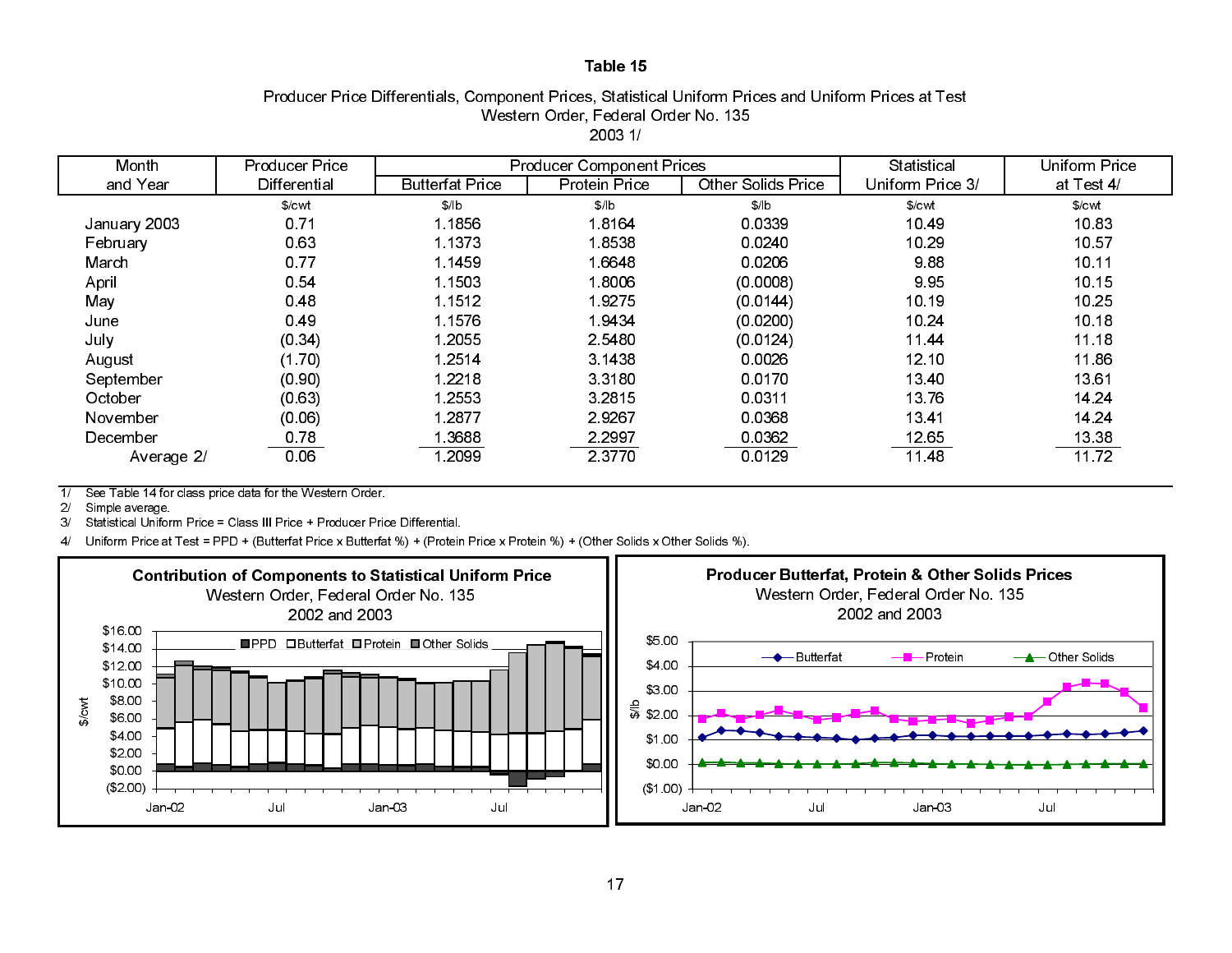## Producer Price Differentials, Component Prices, Statistical Uniform Prices and Uniform Prices at Test Western Order, Federal Order No. 135 2003 1/

| Month        | <b>Producer Price</b> |                        | <b>Producer Component Prices</b> |                    | Statistical      | Uniform Price     |
|--------------|-----------------------|------------------------|----------------------------------|--------------------|------------------|-------------------|
| and Year     | <b>Differential</b>   | <b>Butterfat Price</b> | Protein Price                    | Other Solids Price | Uniform Price 3/ | at Test 4/        |
|              | $%$ cwl               | \$/lb                  | \$/ b                            | \$/ b              | \$/cwl           | \$/ <sub>cm</sub> |
| January 2003 | 0.71                  | 1.1856                 | 18164                            | 0.0339             | 1049             | 10.83             |
| February     | 0.63                  | 1 1 3 7 3              | 18538                            | 0.0240             | 10.29            | 10 57             |
| March        | 0.77                  | 1.1459                 | 16648                            | 0.0206             | 988              | 10.11             |
| April        | 0.54                  | 1.1503                 | 18006                            | (0.0008)           | 995              | 10.15             |
| May          | 0.48                  | 1 1512                 | 19275                            | (0.0144)           | 10.19            | 10.25             |
| June         | 0.49                  | 1.1576                 | 19434                            | (0.0200)           | 10.24            | 10.18             |
| July         | (0.34)                | 1 2055                 | 2 5 4 8 0                        | (0.0124)           | 1144             | 11.18             |
| August       | (1.70)                | 1 2514                 | 3 1438                           | 0.0026             | 12.10            | 11.86             |
| September    | (0.90)                | 1 2218                 | 3 3 1 8 0                        | 0.0170             | 13 40            | 13.61             |
| October      | (0.63)                | 1 2553                 | 3 2 8 1 5                        | 0.0311             | 13.76            | 14 24             |
| November     | (0.06)                | 1 2877                 | 29267                            | 0.0368             | 1341             | 14 24             |
| December     | 0.78                  | 3688                   | 2 2 9 9 7                        | 0.0362             | 12.65            | 13.38             |
| Average 2/   | 0.06                  | 2099                   | 2 3 7 7 0                        | 0.0129             | 11 48            | 1172              |

 $7/$ See Table 14 for class price data for the Western Order.

2/Simple average.

3/Statistical Uniform Price = Class III Price + Producer Price Differential.

4/ Uniform Price at Test = PPD + (Butterfat Price x Butterfat %) + (Protein Price x Protein %) + (Other Solids x Other Solids %).

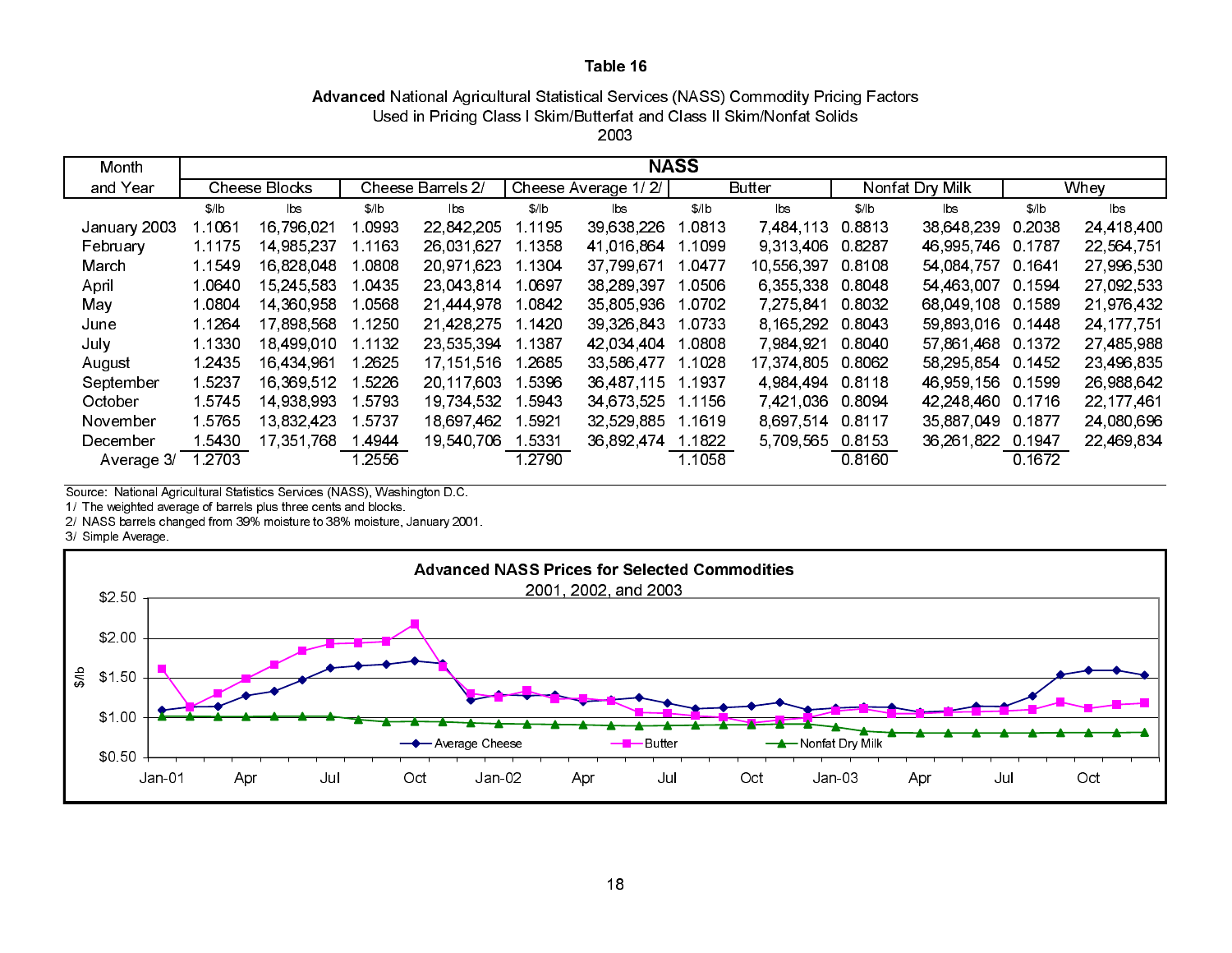# Advanced National Agricultural Statistical Services (NASS) Commodity Pricing Factors Used in Pricing Class I Skim/Butterfat and Class II Skim/Nonfat Solids

| OSEG III FIICING CRASS I SKINDOULEHAL AND CRASS II SKINDIVOIHAL SUNGS |  |
|-----------------------------------------------------------------------|--|
| 2003                                                                  |  |

| Month        | <b>NASS</b> |               |        |                   |           |                     |         |               |           |                 |        |              |
|--------------|-------------|---------------|--------|-------------------|-----------|---------------------|---------|---------------|-----------|-----------------|--------|--------------|
| and Year     |             | Cheese Blocks |        | Cheese Barrels 2/ |           | Cheese Average 1/2/ |         | <b>Butter</b> |           | Nonfat Dry Milk |        | Whey         |
|              | \$/ b       | lbs           | \$/ b  | lbs.              | \$/ b     | bs                  | \$/ b   | lbs           | \$/ b     | lbs             | \$/ b  | lbs          |
| January 2003 | 1.1061      | 16 796 021    | 0993   | 22 842 205        | 1 1 1 9 5 | 39,638,226          | 0813    | 7 484 113     | 0.8813    | 38 648 239      | 0.2038 | 24,418,400   |
| February     | 1 1 1 7 5   | 14 985 237    | l 1163 | 26,031,627        | 1.1358    | 41,016,864          | 1.1099  | 9 313 406     | 0.8287    | 46 995 746      | 0.1787 | 22,564,751   |
| March        | 1 1549      | 16,828,048    | l 0808 | 20.971.623        | 1.1304    | 37 799 671          | 1 0477  | 10,556,397    | 0.8108    | 54,084,757      | 0.1641 | 27,996,530   |
| April        | 1.0640      | 15 245 583    | l 0435 | 23 043 814        | 1.0697    | 38, 289, 397        | 1.0506  | 6 355 338     | 0.8048    | 54 463 007      | 0.1594 | 27,092,533   |
| May          | 1 0804      | 14 360 958    | .0568  | 21 444 978        | 1.0842    | 35 805 936          | 0702    | 7 275 841     | 0.8032    | 68 049 108      | 0.1589 | 21,976,432   |
| June         | 1 1 2 6 4   | 17,898,568    | 1.1250 | 21,428,275        | 1.1420    | 39 326 843          | 1.0733  | 8 165 292     | 0.8043    | 59 893 016      | 0.1448 | 24, 177, 751 |
| July         | 1.1330      | 18,499,010    | 1.1132 | 23 535 394        | 1.1387    | 42 034 404          | 1.0808  | 7 984 921     | 0.8040    | 57 861 468      | 0.1372 | 27,485,988   |
| August       | 1 2435      | 16.434.961    | l 2625 | 17, 151, 516      | 1 2685    | 33,586,477          | 1 1028  | 17, 374, 805  | 0.8062    | 58,295,854      | 0.1452 | 23,496,835   |
| September    | 15237       | 16.369.512    | l 5226 | 20 117 603        | 1.5396    | 36,487,115          | 1.1937  | 4 984 494     | 0.8118    | 46 959 156      | 0.1599 | 26,988,642   |
| October      | 1.5745      | 14 938 993    | 5793   | 19,734,532        | 5943      | 34 673 525          | 1.1156  | 7.421.036     | 0.8094    | 42 248 460      | 0.1716 | 22, 177, 461 |
| November     | 15765       | 13 832 423    | 5737   | 18.697.462        | 5921      | 32 529 885          | 1 16 19 | 8.697.514     | 0.8117    | 35 887 049      | 0.1877 | 24,080,696   |
| December     | 1 5430      | 17.351.768    | 14944  | 19,540,706        | l 5331    | 36,892,474          | 1.1822  | 5,709,565     | 0 8 1 5 3 | 36,261,822      | 0.1947 | 22,469,834   |
| Average 3/   | l 2703      |               | .2556  |                   | l 2790    |                     | 1.1058  |               | 0.8160    |                 | 0.1672 |              |

Source: National Agricultural Statistics Services (NASS), Washington D.C.

1/ The weighted average of barrels plus three cents and blocks.

2/ NASS barrels changed from 39% moisture to 38% moisture, January 2001.

3/ Simple Average.